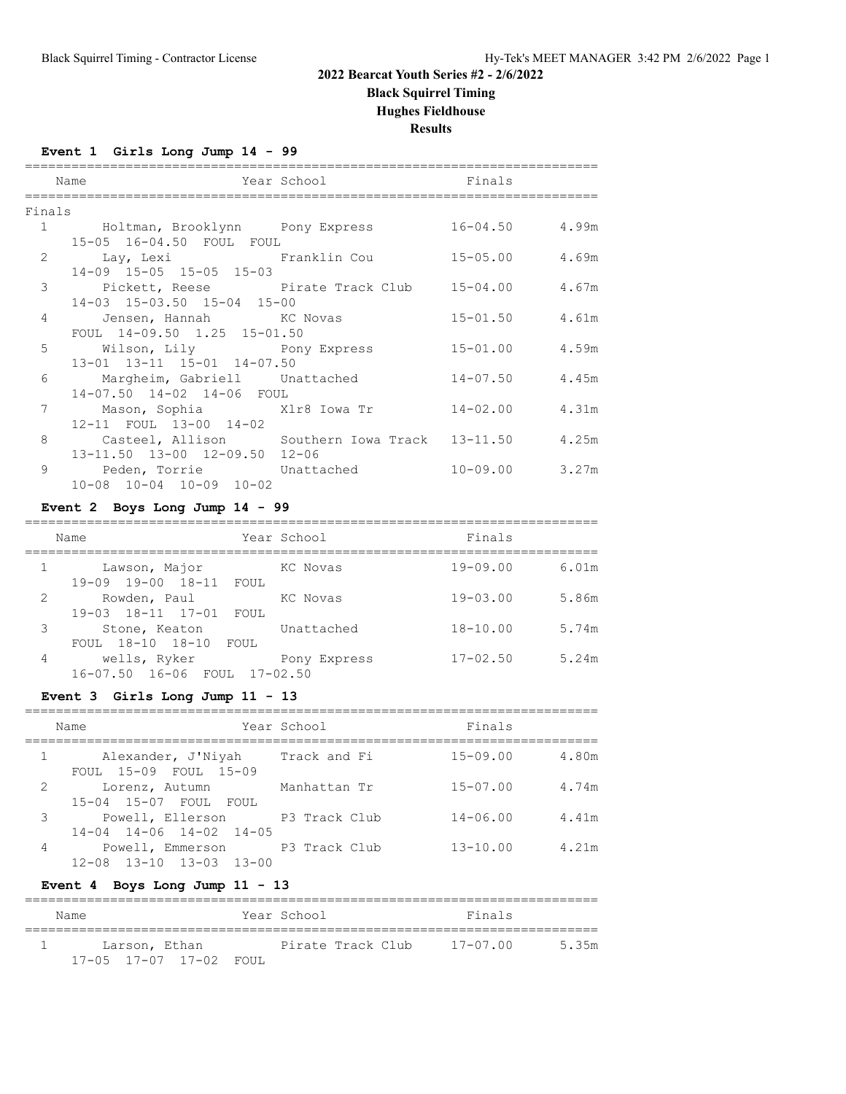**Black Squirrel Timing**

**Hughes Fieldhouse**

**Results**

==========================================================================

### **Event 1 Girls Long Jump 14 - 99**

|        | Name                                                  | Year School Finals |                    |  |
|--------|-------------------------------------------------------|--------------------|--------------------|--|
| Finals |                                                       |                    |                    |  |
|        | 1 Holtman, Brooklynn Pony Express                     |                    | $16 - 04.50$ 4.99m |  |
|        | 15-05 16-04.50 FOUL FOUL                              |                    |                    |  |
|        | 2 Lay, Lexi Pranklin Cou                              |                    | $15 - 05.00$ 4.69m |  |
|        | 14-09 15-05 15-05 15-03                               |                    |                    |  |
|        | 3 Pickett, Reese Pirate Track Club 15-04.00 4.67m     |                    |                    |  |
|        | 14-03 15-03.50 15-04 15-00                            |                    |                    |  |
|        | 4 Jensen, Hannah KC Novas                             |                    | $15 - 01.50$ 4.61m |  |
|        | FOUL 14-09.50 1.25 15-01.50                           |                    |                    |  |
|        | 5 Wilson, Lily Pony Express 15-01.00 4.59m            |                    |                    |  |
|        | 13-01 13-11 15-01 14-07.50                            |                    |                    |  |
|        | 6 Margheim, Gabriell Unattached                       |                    | $14 - 07.50$ 4.45m |  |
|        | 14-07.50 14-02 14-06 FOUL                             |                    |                    |  |
|        | 7 Mason, Sophia Mir8 Iowa Tr                          |                    | $14 - 02.00$ 4.31m |  |
|        | 12-11 FOUL 13-00 14-02                                |                    |                    |  |
|        | 8 Casteel, Allison Southern Iowa Track 13-11.50 4.25m |                    |                    |  |
|        | 13-11.50 13-00 12-09.50 12-06                         |                    |                    |  |
|        | 9 Peden, Torrie Unattached                            |                    | $10 - 09.00$ 3.27m |  |
|        | 10-08 10-04 10-09 10-02                               |                    |                    |  |

## **Event 2 Boys Long Jump 14 - 99**

|   | Name                          | Year School  | Finals       |       |  |
|---|-------------------------------|--------------|--------------|-------|--|
|   | Lawson, Major                 | KC Novas     | $19 - 09.00$ | 6.01m |  |
|   | 19-00 18-11 FOUL<br>$19 - 09$ |              |              |       |  |
| 2 | Rowden, Paul                  | KC Novas     | $19 - 03.00$ | 5.86m |  |
|   | 19-03 18-11 17-01 FOUL        |              |              |       |  |
| 3 | Stone, Keaton                 | Unattached   | $18 - 10.00$ | 5.74m |  |
|   | FOUL 18-10 18-10<br>FOUL      |              |              |       |  |
| 4 | wells, Ryker                  | Pony Express | $17 - 02.50$ | 5.24m |  |
|   | 16-07.50 16-06 FOUL 17-02.50  |              |              |       |  |

#### **Event 3 Girls Long Jump 11 - 13**

|   | Name                                                                      | Year School  | Finals       |       |
|---|---------------------------------------------------------------------------|--------------|--------------|-------|
|   | Alexander, J'Niyah<br>FOUL 15-09 FOUL 15-09                               | Track and Fi | $15 - 09.00$ | 4.80m |
| 2 | Lorenz, Autumn<br>15-04 15-07 FOUL FOUL                                   | Manhattan Tr | $15 - 07.00$ | 4.74m |
| 3 | Powell, Ellerson 193 Track Club<br>$14-04$ $14-06$ $14-02$ $14-05$        |              | $14 - 06.00$ | 4.41m |
| 4 | Powell, Emmerson P3 Track Club<br>$12 - 08$ $13 - 10$ $13 - 03$ $13 - 00$ |              | $13 - 10.00$ | 4.21m |

### **Event 4 Boys Long Jump 11 - 13**

| Name                            | Year School       |  | Finals       |        |
|---------------------------------|-------------------|--|--------------|--------|
| Larson, Ethan                   | Pirate Track Club |  | $17 - 07.00$ | .5.35m |
| $17-0.5$ $17-0.7$ $17-0.2$ FOUL |                   |  |              |        |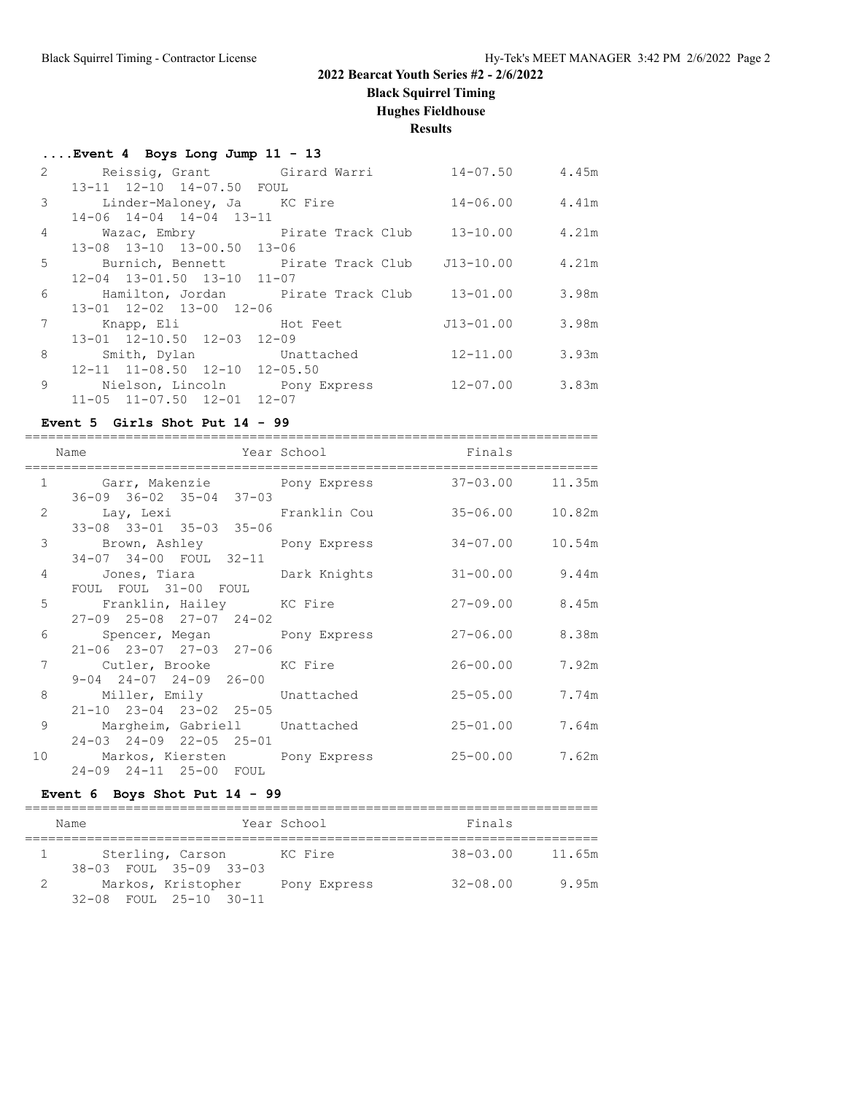**Black Squirrel Timing**

**Hughes Fieldhouse**

**Results**

|                | $\ldots$ Event 4 Boys Long Jump 11 - 13                            |                    |       |
|----------------|--------------------------------------------------------------------|--------------------|-------|
| 2              | Reissig, Grant Girard Warri                                        | $14 - 07.50$ 4.45m |       |
|                | 13-11 12-10 14-07.50 FOUL                                          |                    |       |
| 3              | Linder-Maloney, Ja KC Fire                                         | $14 - 06.00$ 4.41m |       |
|                | 14-06 14-04 14-04 13-11                                            |                    |       |
| $\overline{4}$ | Wazac, Embry Pirate Track Club 13-10.00 4.21m                      |                    |       |
|                | 13-08 13-10 13-00.50 13-06                                         |                    |       |
| 5              | Burnich, Bennett Pirate Track Club J13-10.00 4.21m                 |                    |       |
|                | 12-04 13-01.50 13-10 11-07                                         |                    |       |
| 6              | Hamilton, Jordan        Pirate Track Club     13-01.00       3.98m |                    |       |
|                | 13-01 12-02 13-00 12-06                                            |                    |       |
| 7              |                                                                    | J13-01.00          | 3.98m |
|                | 13-01 12-10.50 12-03 12-09                                         |                    |       |
| 8              | Smith, Dylan Unattached                                            | 12-11.00 3.93m     |       |
|                | 12-11 11-08.50 12-10 12-05.50                                      |                    |       |
| $\mathsf{Q}$   | Nielson, Lincoln         Pony Express                              | $12 - 07.00$ 3.83m |       |
|                | 11-05 11-07.50 12-01 12-07                                         |                    |       |

### **Event 5 Girls Shot Put 14 - 99**

|   | Name                                                                                                       | Year School Finals |                     |       |
|---|------------------------------------------------------------------------------------------------------------|--------------------|---------------------|-------|
|   | 1 Garr, Makenzie Pony Express 37-03.00 11.35m                                                              |                    |                     |       |
|   | $36 - 09$ $36 - 02$ $35 - 04$ $37 - 03$<br>2 Lay, Lexi Pranklin Cou                                        |                    | $35 - 06.00$ 10.82m |       |
|   | 33-08 33-01 35-03 35-06<br>3 Brown, Ashley Pony Express                                                    |                    | 34-07.00 10.54m     |       |
|   | 34-07 34-00 FOUL 32-11<br>4 Jones, Tiara     Dark Knights       31-00.00     9.44m                         |                    |                     |       |
|   | FOUL FOUL 31-00 FOUL<br>5 Franklin, Hailey KC Fire                                                         |                    | $27 - 09.00$ 8.45m  |       |
|   | $27-09$ $25-08$ $27-07$ $24-02$<br>6 Spencer, Megan Pony Express 27-06.00 8.38m<br>21-06 23-07 27-03 27-06 |                    |                     |       |
|   | 7 Cutler, Brooke KC Fire<br>$9 - 04$ $24 - 07$ $24 - 09$ $26 - 00$                                         |                    | 26-00.00 7.92m      |       |
|   | 8 Miller, Emily Unattached 25-05.00<br>21-10 23-04 23-02 25-05                                             |                    |                     | 7.74m |
| 9 | Margheim, Gabriell Unattached<br>24-03 24-09 22-05 25-01                                                   |                    | $25 - 01.00$        | 7.64m |
|   | 10 Markos, Kiersten Pony Express 25-00.00 7.62m<br>24-09 24-11 25-00 FOUL                                  |                    |                     |       |

### **Event 6 Boys Shot Put 14 - 99**

| Name                                               | Year School  | Finals       |        |
|----------------------------------------------------|--------------|--------------|--------|
| Sterling, Carson<br>38-03 FOUL 35-09 33-03         | KC Fire      | $38 - 03.00$ | 11.65m |
| Markos, Kristopher<br>$32-08$ FOUL $25-10$ $30-11$ | Pony Express | $32 - 08.00$ | 9.95m  |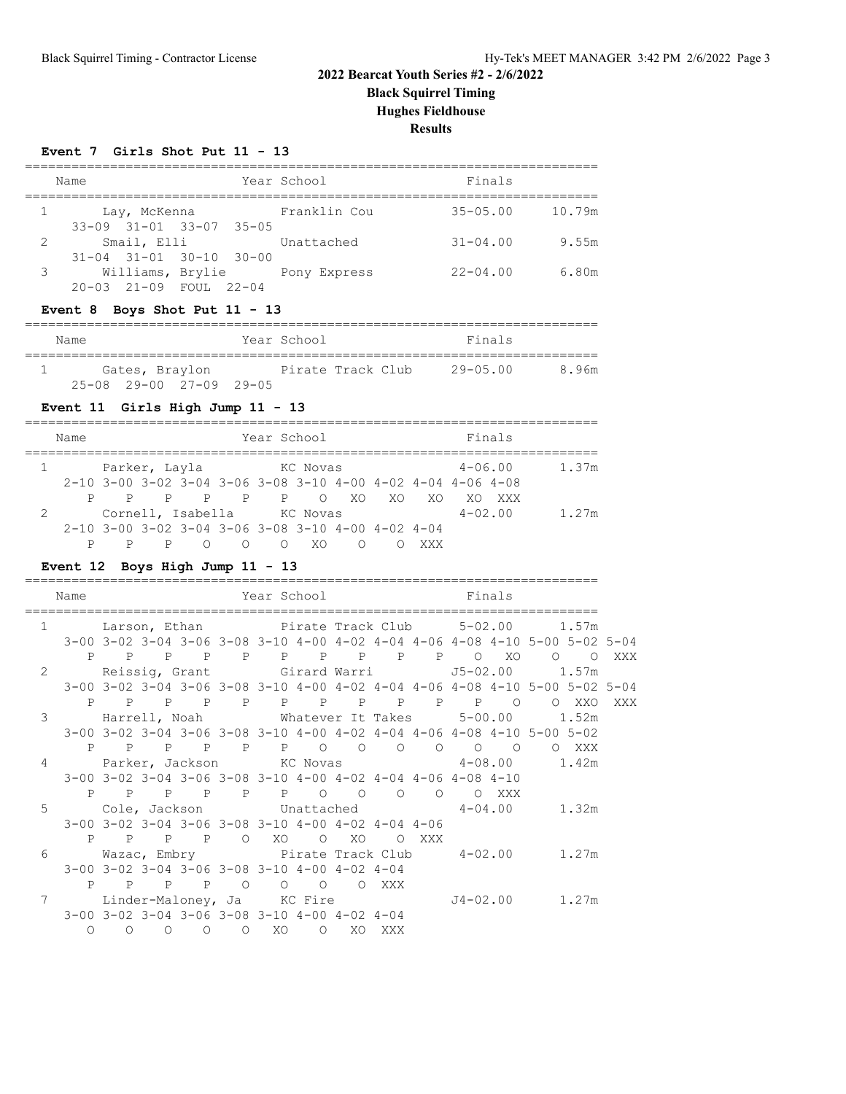**Black Squirrel Timing**

**Hughes Fieldhouse**

**Results**

#### **Event 7 Girls Shot Put 11 - 13**

|   | Name |                                                        |  |  | Year School  | Finals       |        |  |  |  |  |
|---|------|--------------------------------------------------------|--|--|--------------|--------------|--------|--|--|--|--|
|   |      | Lay, McKenna<br>33-09 31-01 33-07 35-05                |  |  | Franklin Cou | $35 - 05.00$ | 10.79m |  |  |  |  |
| 2 |      | Smail, Elli<br>$31 - 04$ $31 - 01$ $30 - 10$ $30 - 00$ |  |  | Unattached   | $31 - 04.00$ | 9.55m  |  |  |  |  |
| 3 |      | Williams, Brylie<br>20-03 21-09 FOUL 22-04             |  |  | Pony Express | $22 - 04.00$ | 6.80m  |  |  |  |  |

### **Event 8 Boys Shot Put 11 - 13**

| Name |                |                                         | Year School       |  | Finals          |       |
|------|----------------|-----------------------------------------|-------------------|--|-----------------|-------|
|      | Gates, Braylon |                                         | Pirate Track Club |  | $29 - 0.5$ . 00 | 8.96m |
|      |                | $25 - 08$ $29 - 00$ $27 - 09$ $29 - 05$ |                   |  |                 |       |

### **Event 11 Girls High Jump 11 - 13**

|   | Name |                                                               |                            |  |  | Year School |          |  |    |     |             |             |       |
|---|------|---------------------------------------------------------------|----------------------------|--|--|-------------|----------|--|----|-----|-------------|-------------|-------|
|   |      | Parker, Layla                                                 |                            |  |  |             | KC Novas |  |    |     |             | $4 - 06.00$ | 1.37m |
|   |      | $2-10$ 3-00 3-02 3-04 3-06 3-08 3-10 4-00 4-02 4-04 4-06 4-08 |                            |  |  |             |          |  |    |     |             |             |       |
|   |      |                                                               | P P P P P O XO             |  |  |             |          |  | XO | XO. | XO.         | XXX X       |       |
| 2 |      |                                                               | Cornell, Isabella KC Novas |  |  |             |          |  |    |     | $4 - 02.00$ |             | 1.27m |
|   |      | $2-10$ 3-00 3-02 3-04 3-06 3-08 3-10 4-00 4-02 4-04           |                            |  |  |             |          |  |    |     |             |             |       |
|   |      |                                                               |                            |  |  |             | XO.      |  |    |     |             |             |       |

### **Event 12 Boys High Jump 11 - 13**

|                | Name       |         |         |           |                | Year School                                                           |         |           |     |       |                                                                                     | Finals |                                                                                                          |          |
|----------------|------------|---------|---------|-----------|----------------|-----------------------------------------------------------------------|---------|-----------|-----|-------|-------------------------------------------------------------------------------------|--------|----------------------------------------------------------------------------------------------------------|----------|
| $\mathbf{1}$   |            |         |         |           |                |                                                                       |         |           |     |       |                                                                                     |        |                                                                                                          |          |
|                |            |         |         |           |                |                                                                       |         |           |     |       |                                                                                     |        | 3-00 3-02 3-04 3-06 3-08 3-10 4-00 4-02 4-04 4-06 4-08 4-10 5-00 5-02 5-04                               |          |
|                |            |         |         |           |                |                                                                       |         |           |     |       | P P P P P P P P P P P O XO                                                          |        | $\circ$<br>$\circ$ 0                                                                                     | XXX - XX |
| $\overline{2}$ |            |         |         |           |                |                                                                       |         |           |     |       |                                                                                     |        |                                                                                                          |          |
|                |            |         |         |           |                |                                                                       |         |           |     |       |                                                                                     |        | $3-00$ $3-02$ $3-04$ $3-06$ $3-08$ $3-10$ $4-00$ $4-02$ $4-04$ $4-06$ $4-08$ $4-10$ $5-00$ $5-02$ $5-04$ |          |
|                |            |         |         | P P P P   |                |                                                                       |         |           |     |       | P P P P P P P O                                                                     |        | O XXO                                                                                                    | XXX      |
| 3              |            |         |         |           |                |                                                                       |         |           |     |       |                                                                                     |        |                                                                                                          |          |
|                |            |         |         |           |                |                                                                       |         |           |     |       |                                                                                     |        | $3-00$ $3-02$ $3-04$ $3-06$ $3-08$ $3-10$ $4-00$ $4-02$ $4-04$ $4-06$ $4-08$ $4-10$ $5-00$ $5-02$        |          |
|                |            |         |         |           |                |                                                                       |         |           |     |       | P P P P P P O O O O O O O                                                           |        | O XXX                                                                                                    |          |
| 4              |            |         |         |           |                |                                                                       |         |           |     |       |                                                                                     |        | Parker, Jackson KC Novas $4-08.00$ 1.42m                                                                 |          |
|                |            |         |         |           |                |                                                                       |         |           |     |       | $3-00$ $3-02$ $3-04$ $3-06$ $3-08$ $3-10$ $4-00$ $4-02$ $4-04$ $4-06$ $4-08$ $4-10$ |        |                                                                                                          |          |
|                |            |         |         |           |                | P P P P P P O O O                                                     |         |           |     |       | O O XXX                                                                             |        |                                                                                                          |          |
| 5              |            |         |         |           |                |                                                                       |         |           |     |       |                                                                                     |        | Cole, Jackson $\qquad$ Unattached $\qquad \qquad 4-04.00 \qquad \qquad 1.32 \text{m}$                    |          |
|                |            |         |         |           |                | $3-00$ $3-02$ $3-04$ $3-06$ $3-08$ $3-10$ $4-00$ $4-02$ $4-04$ $4-06$ |         |           |     |       |                                                                                     |        |                                                                                                          |          |
|                |            |         |         | P P P P   | $\overline{O}$ |                                                                       | XO O    | XO.       |     | O XXX |                                                                                     |        |                                                                                                          |          |
| 6              |            |         |         |           |                |                                                                       |         |           |     |       |                                                                                     |        |                                                                                                          |          |
|                |            |         |         |           |                | $3-00$ $3-02$ $3-04$ $3-06$ $3-08$ $3-10$ $4-00$ $4-02$ $4-04$        |         |           |     |       |                                                                                     |        |                                                                                                          |          |
|                |            |         |         | P P P P O |                |                                                                       |         | O O O XXX |     |       |                                                                                     |        |                                                                                                          |          |
| 7              |            |         |         |           |                | Linder-Maloney, Ja KC Fire                                            |         |           |     |       |                                                                                     |        | J4-02.00 1.27m                                                                                           |          |
|                |            |         |         |           |                | 3-00 3-02 3-04 3-06 3-08 3-10 4-00 4-02 4-04                          |         |           |     |       |                                                                                     |        |                                                                                                          |          |
|                | $\bigcirc$ | $\circ$ | $\circ$ | $\circ$   | $\overline{O}$ | XO                                                                    | $\circ$ | XO        | XXX |       |                                                                                     |        |                                                                                                          |          |
|                |            |         |         |           |                |                                                                       |         |           |     |       |                                                                                     |        |                                                                                                          |          |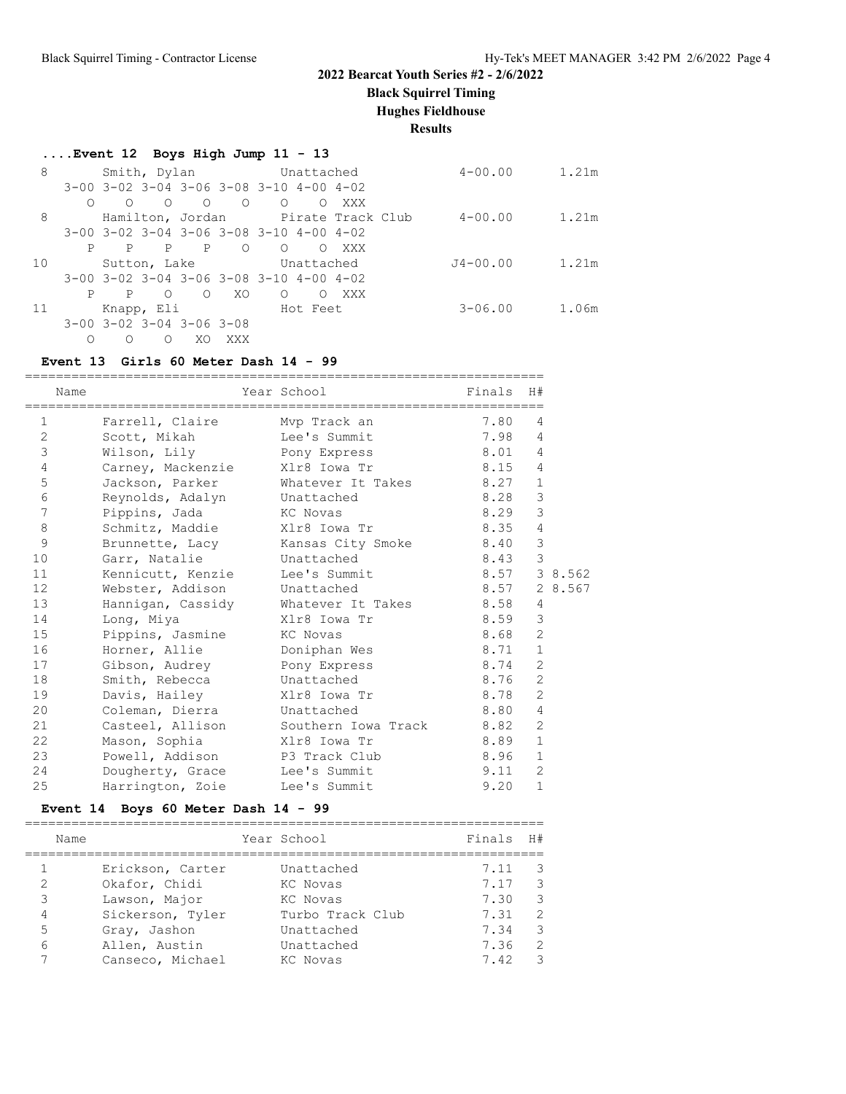**Black Squirrel Timing**

**Hughes Fieldhouse**

**Results**

### **....Event 12 Boys High Jump 11 - 13**

| 8  |   |   |              | Smith, Dylan                                 |            | Unattached                                              |            |                                    | $4 - 00.00$ | 1.21m |
|----|---|---|--------------|----------------------------------------------|------------|---------------------------------------------------------|------------|------------------------------------|-------------|-------|
|    |   |   |              |                                              |            | $3-00$ $3-02$ $3-04$ $3-06$ $3-08$ $3-10$ $4-00$ $4-02$ |            |                                    |             |       |
|    |   | ∩ | ∩            | $\bigcirc$                                   | $\bigcirc$ | $\bigcirc$                                              | $\circ$    | XXX                                |             |       |
| 8  |   |   |              |                                              |            |                                                         |            | Hamilton, Jordan Pirate Track Club | $4 - 00.00$ | 1.21m |
|    |   |   |              |                                              |            | $3-00$ $3-02$ $3-04$ $3-06$ $3-08$ $3-10$ $4-00$ $4-02$ |            |                                    |             |       |
|    | P | P | $\mathbb{P}$ | $\mathbb{P}$                                 | $\Omega$   | $\Omega$                                                | $\Omega$   | XXX                                |             |       |
| 10 |   |   |              | Sutton, Lake                                 |            |                                                         | Unattached |                                    | J4-00.00    | 1.21m |
|    |   |   |              |                                              |            | $3-00$ $3-02$ $3-04$ $3-06$ $3-08$ $3-10$ $4-00$ $4-02$ |            |                                    |             |       |
|    | P | P | ∩            | $\Omega$                                     | XO.        | $\bigcirc$                                              | $\bigcirc$ | XXX                                |             |       |
| 11 |   |   | Knapp, Eli   |                                              |            |                                                         | Hot Feet   |                                    | $3 - 06.00$ | 1.06m |
|    |   |   |              | $3 - 00$ $3 - 02$ $3 - 04$ $3 - 06$ $3 - 08$ |            |                                                         |            |                                    |             |       |
|    |   | Ω | $\Omega$     | XO.                                          | XXX        |                                                         |            |                                    |             |       |

#### **Event 13 Girls 60 Meter Dash 14 - 99**

|              |      | ------------------------           | ===================================  |                           |                |              |
|--------------|------|------------------------------------|--------------------------------------|---------------------------|----------------|--------------|
|              | Name |                                    | Year School                          | Finals H#                 |                |              |
|              |      |                                    |                                      | ;======================== |                |              |
| $\mathbf{1}$ |      | Farrell, Claire Mvp Track an       |                                      | 7.80                      | 4              |              |
| 2            |      | Scott, Mikah                       | Lee's Summit                         | 7.98                      | 4              |              |
| $\mathsf 3$  |      | Wilson, Lily Bony Express          |                                      | 8.01                      | 4              |              |
| 4            |      | Carney, Mackenzie                  | Xlr8 Iowa Tr                         | 8.15                      | $\overline{4}$ |              |
| 5            |      |                                    | Jackson, Parker Mhatever It Takes    | 8.27                      | $\mathbf{1}$   |              |
| 6            |      | Reynolds, Adalyn Unattached        |                                      | 8.28                      | 3              |              |
| 7            |      | Pippins, Jada KC Novas             |                                      | 8.29                      | 3              |              |
| 8            |      | Schmitz, Maddie Xlr8 Iowa Tr       |                                      | 8.35                      | 4              |              |
| 9            |      |                                    | Brunnette, Lacy Kansas City Smoke    | 8.40                      | $\mathcal{S}$  |              |
| 10           |      | Garr, Natalie                      | Unattached                           | 8.43                      | 3              |              |
| 11           |      | Kennicutt, Kenzie                  | Lee's Summit                         |                           |                | 8.57 3 8.562 |
| 12           |      | Webster, Addison Unattached        |                                      |                           |                | 8.57 2 8.567 |
| 13           |      |                                    | Hanniqan, Cassidy Mhatever It Takes  | 8.58                      | $\overline{4}$ |              |
| 14           |      | Long, Miya                         | Xlr8 Iowa Tr                         | 8.59                      | 3              |              |
| 15           |      | Pippins, Jasmine                   | KC Novas                             | 8.68                      | 2              |              |
| 16           |      | Horner, Allie Doniphan Wes         |                                      | 8.71                      | $\mathbf{1}$   |              |
| 17           |      | Gibson, Audrey <b>Pony Express</b> |                                      | 8.74                      | $\overline{c}$ |              |
| 18           |      | Smith, Rebecca Unattached          |                                      | 8.76                      | 2              |              |
| 19           |      | Davis, Hailey Xlr8 Iowa Tr         |                                      | 8.78                      | 2              |              |
| 20           |      | Coleman, Dierra Unattached         |                                      | 8.80                      | 4              |              |
| 21           |      |                                    | Casteel, Allison Southern Iowa Track | 8.82                      | $\overline{c}$ |              |
| 22           |      | Mason, Sophia                      | Xlr8 Iowa Tr                         | 8.89                      | $\mathbf{1}$   |              |
| 23           |      | Powell, Addison P3 Track Club      |                                      | 8.96                      | $\mathbf{1}$   |              |
| 24           |      | Dougherty, Grace Lee's Summit      |                                      | 9.11                      | $\overline{c}$ |              |
| 25           |      | Harrington, Zoie                   | Lee's Summit                         | 9.20                      | $\mathbf{1}$   |              |

### **Event 14 Boys 60 Meter Dash 14 - 99**

| Name                               |                                                                                                         | Year School                                                                        | Finals                                       | H#                                                                               |
|------------------------------------|---------------------------------------------------------------------------------------------------------|------------------------------------------------------------------------------------|----------------------------------------------|----------------------------------------------------------------------------------|
| 2<br>3<br>$\overline{4}$<br>5<br>6 | Erickson, Carter<br>Okafor, Chidi<br>Lawson, Major<br>Sickerson, Tyler<br>Gray, Jashon<br>Allen, Austin | Unattached<br>KC Novas<br>KC Novas<br>Turbo Track Club<br>Unattached<br>Unattached | 7.11<br>7.17<br>7.30<br>7.31<br>7.34<br>7.36 | - 3<br>$\overline{\phantom{a}}$<br>$\overline{\phantom{a}}$<br>- 2<br>- 3<br>- 2 |
|                                    | Canseco, Michael                                                                                        | KC Novas                                                                           | 7.42                                         | - 3                                                                              |
|                                    |                                                                                                         |                                                                                    |                                              |                                                                                  |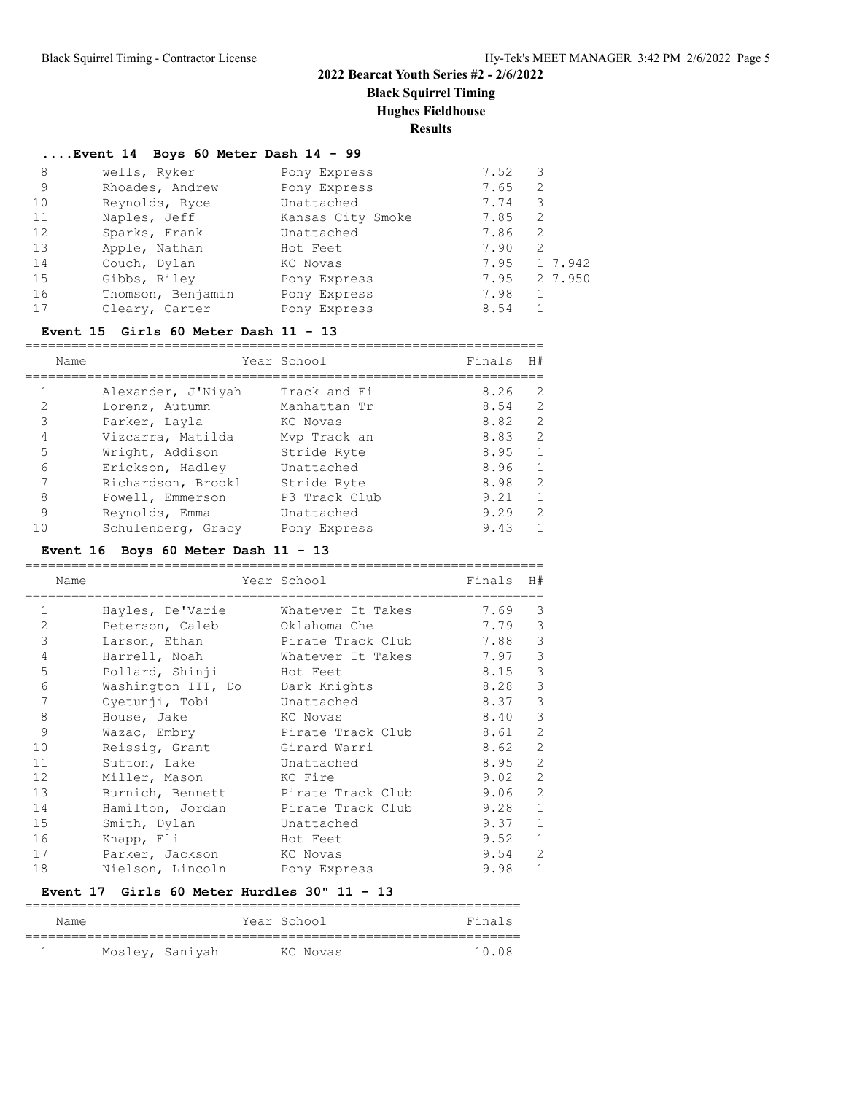**Black Squirrel Timing**

**Hughes Fieldhouse**

**Results**

#### **....Event 14 Boys 60 Meter Dash 14 - 99**

| 8  | wells, Ryker      | Pony Express      | 7.52 | 3       |
|----|-------------------|-------------------|------|---------|
| 9  | Rhoades, Andrew   | Pony Express      | 7.65 | 2       |
| 10 | Reynolds, Ryce    | Unattached        | 7.74 | 3       |
| 11 | Naples, Jeff      | Kansas City Smoke | 7.85 | 2       |
| 12 | Sparks, Frank     | Unattached        | 7.86 | 2       |
| 13 | Apple, Nathan     | Hot Feet          | 7.90 | 2       |
| 14 | Couch, Dylan      | KC Novas          | 7.95 | 1 7.942 |
| 15 | Gibbs, Riley      | Pony Express      | 7.95 | 2 7.950 |
| 16 | Thomson, Benjamin | Pony Express      | 7.98 |         |
| 17 | Cleary, Carter    | Pony Express      | 8.54 |         |
|    |                   |                   |      |         |

#### **Event 15 Girls 60 Meter Dash 11 - 13**

|                | Name               | Year School   | Finals | H#            |
|----------------|--------------------|---------------|--------|---------------|
|                | Alexander, J'Niyah | Track and Fi  | 8.26   | 2             |
| 2              | Lorenz, Autumn     | Manhattan Tr  | 8.54   | $\mathcal{L}$ |
| 3              | Parker, Layla      | KC Novas      | 8.82   | $\mathcal{L}$ |
| $\overline{4}$ | Vizcarra, Matilda  | Mvp Track an  | 8.83   | $\mathcal{L}$ |
| 5              | Wright, Addison    | Stride Ryte   | 8.95   |               |
| 6              | Erickson, Hadley   | Unattached    | 8.96   | $\mathbf{1}$  |
|                | Richardson, Brookl | Stride Ryte   | 8.98   | $\mathcal{L}$ |
| 8              | Powell, Emmerson   | P3 Track Club | 9.21   |               |
| 9              | Reynolds, Emma     | Unattached    | 9.29   | $\mathcal{P}$ |
|                | Schulenberg, Gracy | Pony Express  | 9.43   |               |

### **Event 16 Boys 60 Meter Dash 11 - 13**

|              | Name |                    | Year School       | Finals | H#             |
|--------------|------|--------------------|-------------------|--------|----------------|
| $\mathbf{1}$ |      | Hayles, De'Varie   | Whatever It Takes | 7.69   | 3              |
| 2            |      | Peterson, Caleb    | Oklahoma Che      | 7.79   | 3              |
| 3            |      | Larson, Ethan      | Pirate Track Club | 7.88   | 3              |
| 4            |      | Harrell, Noah      | Whatever It Takes | 7.97   | 3              |
| 5            |      | Pollard, Shinji    | Hot Feet          | 8.15   | 3              |
| 6            |      | Washington III, Do | Dark Knights      | 8.28   | 3              |
| 7            |      | Oyetunji, Tobi     | Unattached        | 8.37   | 3              |
| 8            |      | House, Jake        | KC Novas          | 8.40   | 3              |
| 9            |      | Wazac, Embry       | Pirate Track Club | 8.61   | $\overline{2}$ |
| 10           |      | Reissig, Grant     | Girard Warri      | 8.62   | $\overline{2}$ |
| 11           |      | Sutton, Lake       | Unattached        | 8.95   | $\overline{2}$ |
| 12           |      | Miller, Mason      | KC Fire           | 9.02   | $\mathfrak{D}$ |
| 13           |      | Burnich, Bennett   | Pirate Track Club | 9.06   | $\overline{2}$ |
| 14           |      | Hamilton, Jordan   | Pirate Track Club | 9.28   | $\mathbf{1}$   |
| 15           |      | Smith, Dylan       | Unattached        | 9.37   | $\mathbf{1}$   |
| 16           |      | Knapp, Eli         | Hot Feet          | 9.52   | $\mathbf{1}$   |
| 17           |      | Parker, Jackson    | KC Novas          | 9.54   | $\overline{2}$ |
| 18           |      | Nielson, Lincoln   | Pony Express      | 9.98   | $\mathbf{1}$   |

#### **Event 17 Girls 60 Meter Hurdles 30" 11 - 13**

| Name |                 | Year School | Finals |
|------|-----------------|-------------|--------|
|      |                 |             |        |
|      | Mosley, Saniyah | KC Novas    | 10 O.S |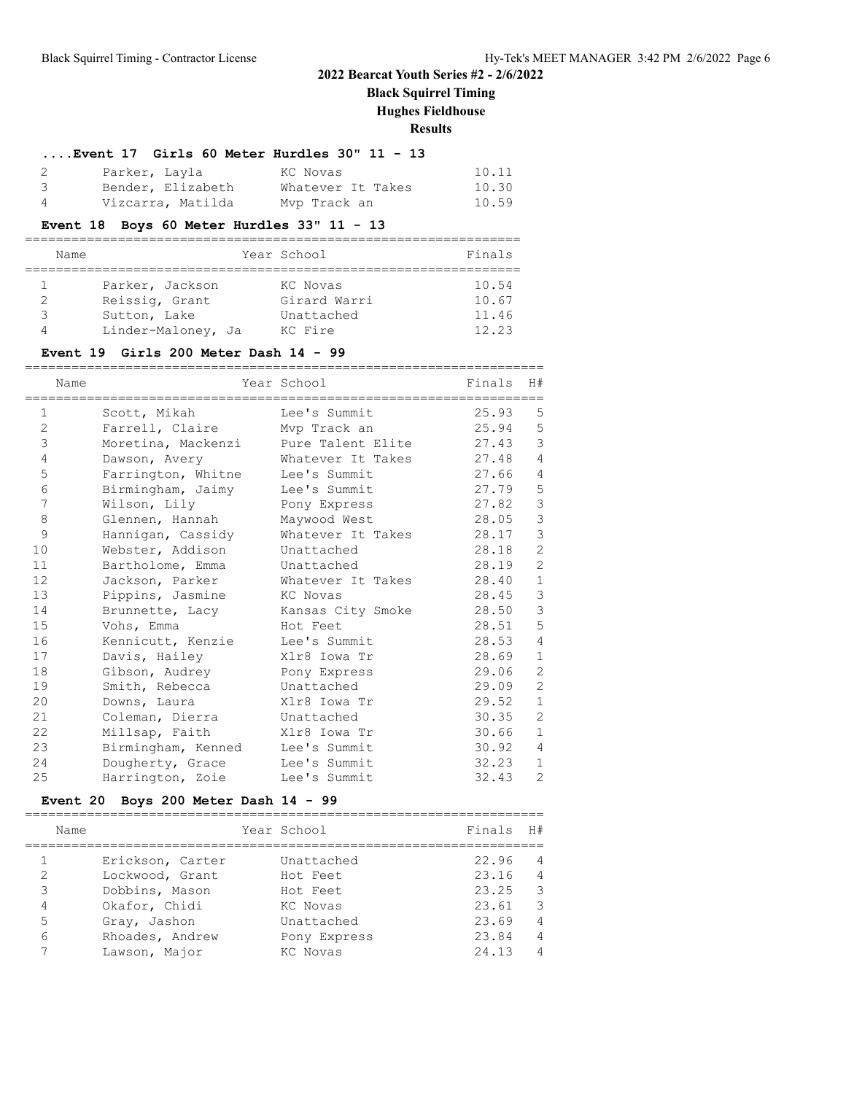## **Black Squirrel Timing**

**Hughes Fieldhouse**

**Results**

### **....Event 17 Girls 60 Meter Hurdles 30" 11 - 13**

|                         | Parker, Layla     | KC Novas          | 10.11 |
|-------------------------|-------------------|-------------------|-------|
| $\overline{\mathbf{3}}$ | Bender, Elizabeth | Whatever It Takes | 10.30 |
| - 4                     | Vizcarra, Matilda | Mvp Track an      | 10.59 |

### **Event 18 Boys 60 Meter Hurdles 33" 11 - 13**

|   | Name               | Year School  | Finals |
|---|--------------------|--------------|--------|
|   |                    |              |        |
|   | Parker, Jackson    | KC Novas     | 10.54  |
|   | Reissig, Grant     | Girard Warri | 10.67  |
| ੨ | Sutton, Lake       | Unattached   | 11.46  |
|   | Linder-Maloney, Ja | KC Fire      | 12.23  |

#### **Event 19 Girls 200 Meter Dash 14 - 99**

|                | Name | ----------------------------<br>--------------------------- | =============================<br>Year School<br>============================= | Finals | H#             |
|----------------|------|-------------------------------------------------------------|-------------------------------------------------------------------------------|--------|----------------|
| 1              |      | Scott, Mikah                                                | Lee's Summit                                                                  | 25.93  | 5              |
| $\overline{2}$ |      | Farrell, Claire                                             | Mvp Track an                                                                  | 25.94  | 5              |
| 3              |      | Moretina, Mackenzi                                          | Pure Talent Elite                                                             | 27.43  | 3              |
| $\overline{4}$ |      | Dawson, Avery                                               | Whatever It Takes                                                             | 27.48  | $\overline{4}$ |
| 5              |      | Farrington, Whitne                                          | Lee's Summit                                                                  | 27.66  | $\overline{4}$ |
| 6              |      | Birmingham, Jaimy                                           | Lee's Summit                                                                  | 27.79  | 5              |
| 7              |      | Wilson, Lily                                                | Pony Express                                                                  | 27.82  | 3              |
| 8              |      | Glennen, Hannah                                             | Maywood West                                                                  | 28.05  | 3              |
| 9              |      | Hannigan, Cassidy                                           | Whatever It Takes                                                             | 28.17  | 3              |
| 10             |      | Webster, Addison                                            | Unattached                                                                    | 28.18  | $\mathbf{2}$   |
| 11             |      | Bartholome, Emma                                            | Unattached                                                                    | 28.19  | $\overline{c}$ |
| 12             |      | Jackson, Parker                                             | Whatever It Takes                                                             | 28.40  | $\mathbf{1}$   |
| 13             |      | Pippins, Jasmine                                            | KC Novas                                                                      | 28.45  | 3              |
| 14             |      | Brunnette, Lacy                                             | Kansas City Smoke                                                             | 28.50  | 3              |
| 15             |      | Vohs, Emma                                                  | Hot Feet                                                                      | 28.51  | 5              |
| 16             |      | Kennicutt, Kenzie                                           | Lee's Summit                                                                  | 28.53  | $\overline{4}$ |
| 17             |      | Davis, Hailey                                               | Xlr8 Iowa Tr                                                                  | 28.69  | $\mathbf{1}$   |
| 18             |      | Gibson, Audrey                                              | Pony Express                                                                  | 29.06  | $\mathbf{2}$   |
| 19             |      | Smith, Rebecca                                              | Unattached                                                                    | 29.09  | $\overline{2}$ |
| 20             |      | Downs, Laura                                                | Xlr8 Iowa Tr                                                                  | 29.52  | $\mathbf{1}$   |
| 21             |      | Coleman, Dierra                                             | Unattached                                                                    | 30.35  | $\overline{c}$ |
| 22             |      | Millsap, Faith                                              | Xlr8 Iowa Tr                                                                  | 30.66  | $\mathbf{1}$   |
| 23             |      | Birmingham, Kenned                                          | Lee's Summit                                                                  | 30.92  | $\overline{4}$ |
| 24             |      | Dougherty, Grace                                            | Lee's Summit                                                                  | 32.23  | $\mathbf{1}$   |
| 25             |      | Harrington, Zoie                                            | Lee's Summit                                                                  | 32.43  | $\mathbf{2}$   |

#### **Event 20 Boys 200 Meter Dash 14 - 99**

===================================================================

|   | Name             | Year School  | Finals | H#             |
|---|------------------|--------------|--------|----------------|
|   | Erickson, Carter | Unattached   | 22.96  | $\overline{4}$ |
| 2 | Lockwood, Grant  | Hot Feet     | 23.16  | $\overline{4}$ |
| 3 | Dobbins, Mason   | Hot Feet     | 23.25  | - 3            |
| 4 | Okafor, Chidi    | KC Novas     | 23.61  | -3             |
| 5 | Gray, Jashon     | Unattached   | 23.69  | $\overline{4}$ |
| 6 | Rhoades, Andrew  | Pony Express | 23.84  | $\overline{4}$ |
| 7 | Lawson, Major    | KC Novas     | 24.13  | $\overline{4}$ |
|   |                  |              |        |                |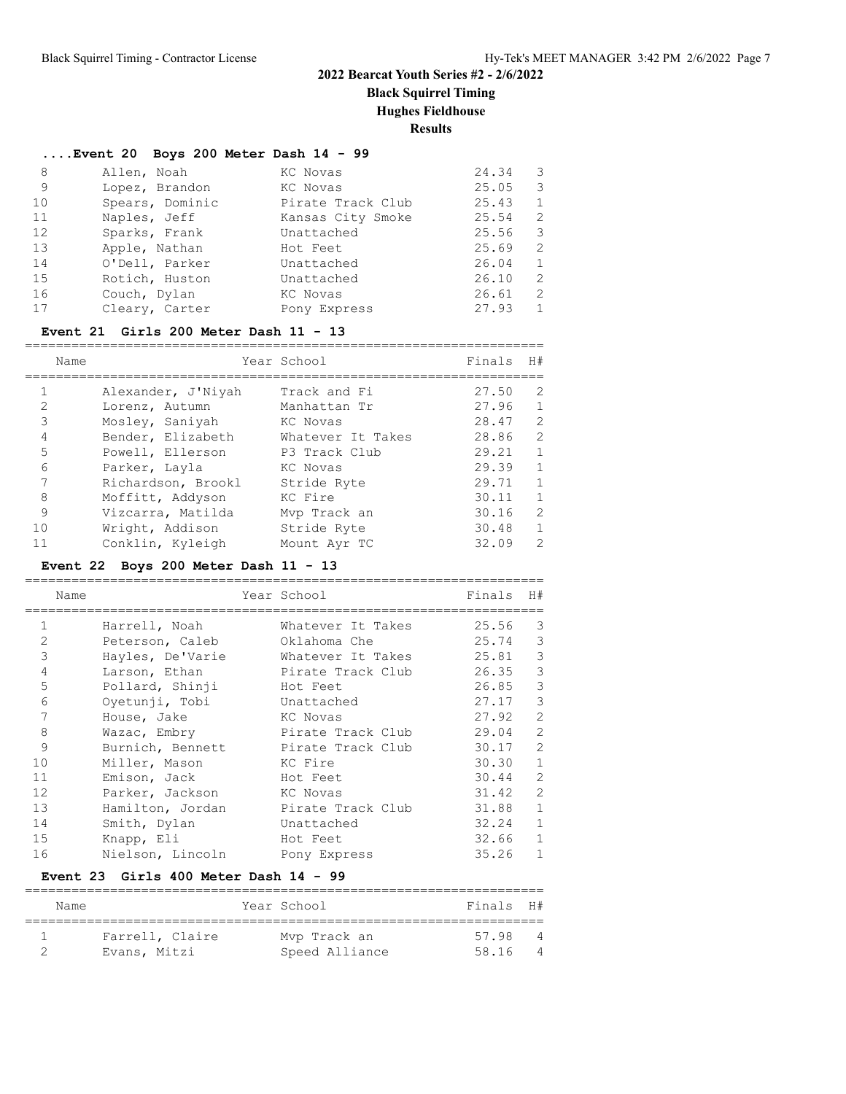**Black Squirrel Timing**

**Hughes Fieldhouse**

**Results**

|    | Event 20 Boys 200 Meter Dash 14 - 99 |                   |       |               |
|----|--------------------------------------|-------------------|-------|---------------|
| 8  | Allen, Noah                          | KC Novas          | 24.34 | 3             |
| 9  | Lopez, Brandon                       | KC Novas          | 25.05 | 3             |
| 10 | Spears, Dominic                      | Pirate Track Club | 25.43 | $\mathbf{1}$  |
| 11 | Naples, Jeff                         | Kansas City Smoke | 25.54 | 2             |
| 12 | Sparks, Frank                        | Unattached        | 25.56 | 3             |
| 13 | Apple, Nathan                        | Hot Feet          | 25.69 | $\mathcal{L}$ |
| 14 | O'Dell, Parker                       | Unattached        | 26.04 | 1             |
| 15 | Rotich, Huston                       | Unattached        | 26.10 | 2             |
| 16 | Couch, Dylan                         | KC Novas          | 26.61 | 2             |
| 17 | Cleary, Carter                       | Pony Express      | 27.93 | $\mathbf{1}$  |

### **Event 21 Girls 200 Meter Dash 11 - 13**

|    | Name               | Year School       | Finals | H#            |
|----|--------------------|-------------------|--------|---------------|
|    | Alexander, J'Niyah | Track and Fi      | 27.50  | 2             |
| 2  | Lorenz, Autumn     | Manhattan Tr      | 27.96  | $\mathbf{1}$  |
| 3  | Mosley, Saniyah    | KC Novas          | 28.47  | 2             |
| 4  | Bender, Elizabeth  | Whatever It Takes | 28.86  | 2             |
| 5  | Powell, Ellerson   | P3 Track Club     | 29.21  | $\mathbf{1}$  |
| 6  | Parker, Layla      | KC Novas          | 29.39  | $\mathbf{1}$  |
|    | Richardson, Brookl | Stride Ryte       | 29.71  | $\mathbf{1}$  |
| 8  | Moffitt, Addyson   | KC Fire           | 30.11  | $\mathbf{1}$  |
| 9  | Vizcarra, Matilda  | Mvp Track an      | 30.16  | $\mathcal{L}$ |
| 10 | Wright, Addison    | Stride Ryte       | 30.48  | $\mathbf{1}$  |
| 11 | Conklin, Kyleigh   | Mount Ayr TC      | 32.09  | $\mathcal{P}$ |

### **Event 22 Boys 200 Meter Dash 11 - 13**

|                | Name |                  | Year School       | Finals | H#            |
|----------------|------|------------------|-------------------|--------|---------------|
|                |      | Harrell, Noah    | Whatever It Takes | 25.56  | 3             |
| $\overline{2}$ |      | Peterson, Caleb  | Oklahoma Che      | 25.74  | 3             |
| 3              |      | Hayles, De'Varie | Whatever It Takes | 25.81  | 3             |
| 4              |      | Larson, Ethan    | Pirate Track Club | 26.35  | 3             |
| 5              |      | Pollard, Shinji  | Hot Feet          | 26.85  | $\mathcal{E}$ |
| 6              |      | Oyetunji, Tobi   | Unattached        | 27.17  | 3             |
|                |      | House, Jake      | KC Novas          | 27.92  | 2             |
| 8              |      | Wazac, Embry     | Pirate Track Club | 29.04  | 2             |
| 9              |      | Burnich, Bennett | Pirate Track Club | 30.17  | 2             |
| 10             |      | Miller, Mason    | KC Fire           | 30.30  | $\mathbf{1}$  |
| 11             |      | Emison, Jack     | Hot Feet          | 30.44  | 2             |
| 12             |      | Parker, Jackson  | KC Novas          | 31.42  | 2             |
| 13             |      | Hamilton, Jordan | Pirate Track Club | 31.88  | $\mathbf{1}$  |
| 14             |      | Smith, Dylan     | Unattached        | 32.24  | $\mathbf{1}$  |
| 15             |      | Knapp, Eli       | Hot Feet          | 32.66  | $\mathbf{1}$  |
| 16             |      | Nielson, Lincoln | Pony Express      | 35.26  | $\mathbf{1}$  |

### **Event 23 Girls 400 Meter Dash 14 - 99**

| Name            | Year School    | Finals H# |                |
|-----------------|----------------|-----------|----------------|
|                 |                |           |                |
| Farrell, Claire | Mvp Track an   | 57 98     | $\overline{4}$ |
| Evans, Mitzi    | Speed Alliance | 58.16     |                |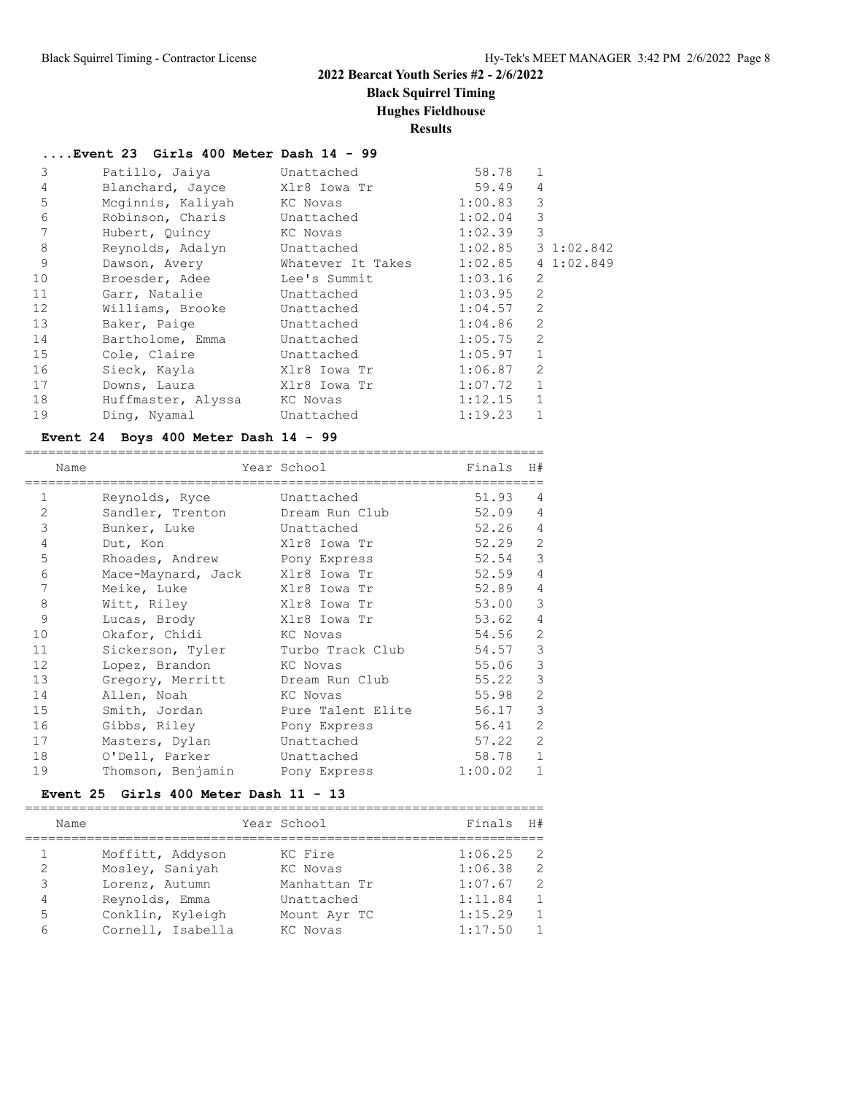**Black Squirrel Timing**

#### **Hughes Fieldhouse**

**Results**

**....Event 23 Girls 400 Meter Dash 14 - 99** 3 Patillo, Jaiya Unattached 58.78 1 4 Blanchard, Jayce X1r8 Iowa Tr 59.49 4 5 Mcginnis, Kaliyah KC Novas 1:00.83 3 6 Robinson, Charis Unattached 1:02.04 3 7 Hubert, Quincy KC Novas 1:02.39 3 8 Reynolds, Adalyn Unattached 1:02.85 3 1:02.842 9 Dawson, Avery Whatever It Takes 1:02.85 4 1:02.849 10 Broesder, Adee Lee's Summit 1:03.16 2 11 Garr, Natalie Unattached 1:03.95 2 12 Williams, Brooke Unattached 1:04.57 2 13 Baker, Paige **Unattached** 1:04.86 2 14 Bartholome, Emma Unattached 1:05.75 2 15 Cole, Claire Unattached 1:05.97 1 16 Sieck, Kayla Xlr8 Iowa Tr 1:06.87 2 17 Downs, Laura Xlr8 Iowa Tr 1:07.72 1 18 Huffmaster, Alyssa KC Novas 1:12.15 1 19 Ding, Nyamal Unattached 1:19.23 1

#### **Event 24 Boys 400 Meter Dash 14 - 99**

|                | Name |                                 | Year School       | Finals  | H#             |
|----------------|------|---------------------------------|-------------------|---------|----------------|
| 1              |      | Reynolds, Ryce                  | Unattached        | 51.93   | $\overline{4}$ |
| $\overline{2}$ |      | Sandler, Trenton                | Dream Run Club    | 52.09   | $\overline{4}$ |
| 3              |      | Bunker, Luke                    | Unattached        | 52.26   | $\overline{4}$ |
| $\overline{4}$ |      | Dut, Kon                        | Xlr8 Iowa Tr      | 52.29   | $\mathbf{2}$   |
| 5              |      | Rhoades, Andrew                 | Pony Express      | 52.54   | $\mathfrak{Z}$ |
| 6              |      | Mace-Maynard, Jack Xlr8 Iowa Tr |                   | 52.59   | $\overline{4}$ |
| 7              |      | Meike, Luke                     | Xlr8 Iowa Tr      | 52.89   | $\sqrt{4}$     |
| 8              |      | Witt, Riley                     | Xlr8 Iowa Tr      | 53.00   | $\mathcal{S}$  |
| 9              |      | Lucas, Brody                    | Xlr8 Iowa Tr      | 53.62   | $\overline{4}$ |
| 10             |      | Okafor, Chidi                   | KC Novas          | 54.56   | $\mathbf{2}$   |
| 11             |      | Sickerson, Tyler                | Turbo Track Club  | 54.57   | $\mathfrak{Z}$ |
| 12             |      | Lopez, Brandon                  | KC Novas          | 55.06   | 3              |
| 13             |      | Gregory, Merritt Dream Run Club |                   | 55.22   | 3              |
| 14             |      | Allen, Noah                     | KC Novas          | 55.98   | $\mathbf{2}$   |
| 15             |      | Smith, Jordan                   | Pure Talent Elite | 56.17   | 3              |
| 16             |      | Gibbs, Riley                    | Pony Express      | 56.41   | $\overline{2}$ |
| 17             |      | Masters, Dylan                  | Unattached        | 57.22   | $\mathbf{2}$   |
| 18             |      | O'Dell, Parker                  | Unattached        | 58.78   | $\mathbf{1}$   |
| 19             |      | Thomson, Benjamin Pony Express  |                   | 1:00.02 | $\mathbf{1}$   |
|                |      |                                 |                   |         |                |

#### **Event 25 Girls 400 Meter Dash 11 - 13**

|   | Name |                   | Year School  | Finals  | H#             |
|---|------|-------------------|--------------|---------|----------------|
|   |      | Moffitt, Addyson  | KC Fire      | 1:06.25 | - 2            |
| 2 |      | Mosley, Saniyah   | KC Novas     | 1:06.38 | $\overline{2}$ |
| 3 |      | Lorenz, Autumn    | Manhattan Tr | 1:07.67 | $\overline{2}$ |
| 4 |      | Reynolds, Emma    | Unattached   | 1:11.84 | $\mathbf{1}$   |
| 5 |      | Conklin, Kyleigh  | Mount Ayr TC | 1:15.29 | $\overline{1}$ |
| 6 |      | Cornell, Isabella | KC Novas     | 1:17.50 | $\mathbf{1}$   |
|   |      |                   |              |         |                |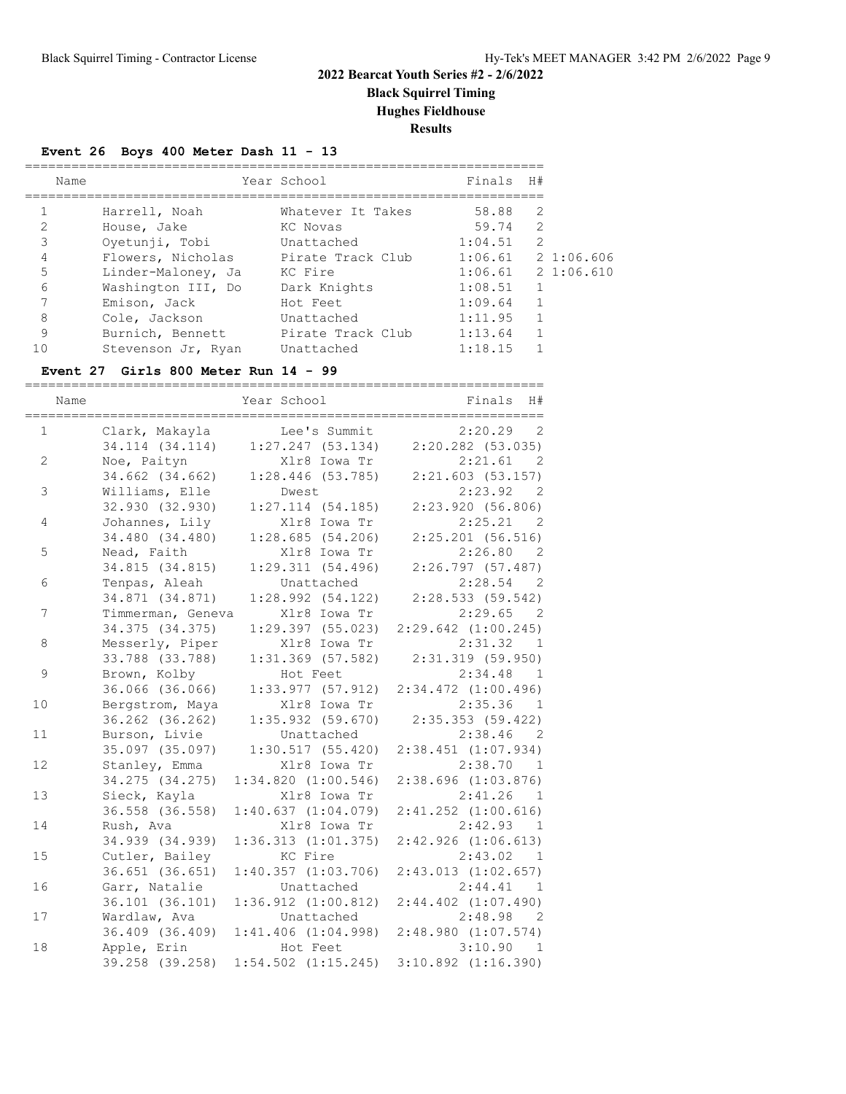**Black Squirrel Timing**

**Hughes Fieldhouse**

**Results**

### **Event 26 Boys 400 Meter Dash 11 - 13**

| Name           |                    | Year School       | Finals H# |                |                      |
|----------------|--------------------|-------------------|-----------|----------------|----------------------|
|                | Harrell, Noah      | Whatever It Takes | 58.88     | 2              |                      |
| $\mathfrak{D}$ | House, Jake        | KC Novas          | 59.74     | 2              |                      |
| 3              | Oyetunji, Tobi     | Unattached        | 1:04.51   | $\mathcal{L}$  |                      |
| 4              | Flowers, Nicholas  | Pirate Track Club |           |                | $1:06.61$ 2 1:06.606 |
| 5              | Linder-Maloney, Ja | KC Fire           |           |                | $1:06.61$ 2 1:06.610 |
| 6              | Washington III, Do | Dark Knights      | 1:08.51   | $\mathbf{1}$   |                      |
| 7              | Emison, Jack       | Hot Feet          | 1:09.64   | $\overline{1}$ |                      |
| 8              | Cole, Jackson      | Unattached        | 1:11.95   | $\mathbf{1}$   |                      |
| 9              | Burnich, Bennett   | Pirate Track Club | 1:13.64   | $\mathbf{1}$   |                      |
| 1 ೧            | Stevenson Jr, Ryan | Unattached        | 1:18.15   |                |                      |

### **Event 27 Girls 800 Meter Run 14 - 99**

| Name           | ============================= | Year School             | Finals<br>H#<br>;============================= |
|----------------|-------------------------------|-------------------------|------------------------------------------------|
| $\mathbf{1}$   | Clark, Makayla                | Lee's Summit            | 2:20.29<br>2                                   |
|                | 34.114 (34.114)               | 1:27.247(53.134)        | $2:20.282$ (53.035)                            |
| 2              | Noe, Paityn                   | Xlr8 Iowa Tr            | 2:21.61<br>- 2                                 |
|                | 34.662 (34.662)               | $1:28.446$ (53.785)     | $2:21.603$ (53.157)                            |
| $\mathfrak{Z}$ | Williams, Elle                | Dwest                   | 2:23.92<br>$\overline{2}$                      |
|                | 32.930 (32.930)               | $1:27.114$ (54.185)     | 2:23.920(56.806)                               |
| 4              | Johannes, Lily                | Xlr8 Iowa Tr            | 2:25.21 2                                      |
|                | 34.480 (34.480)               | 1:28.685(54.206)        | $2:25.201$ (56.516)                            |
| 5              | Nead, Faith                   | Xlr8 Iowa Tr            | 2:26.80 2                                      |
|                | 34.815 (34.815)               | 1:29.311(54.496)        | 2:26.797(57.487)                               |
| 6              | Tenpas, Aleah                 | Unattached              | 2:28.54 2                                      |
|                | 34.871 (34.871)               | 1:28.992(54.122)        | 2:28.533(59.542)                               |
| 7              | Timmerman, Geneva             | Xlr8 Iowa Tr            | 2:29.65 2                                      |
|                | 34.375 (34.375)               | $1:29.397$ (55.023)     | $2:29.642$ $(1:00.245)$                        |
| 8              | Messerly, Piper               | Xlr8 Iowa Tr            | 2:31.32<br>$\overline{1}$                      |
|                | 33.788 (33.788)               | $1:31.369$ (57.582)     | $2:31.319$ (59.950)                            |
| 9              | Brown, Kolby                  | Hot Feet                | 2:34.48<br>- 1                                 |
|                | 36.066 (36.066)               | 1:33.977(57.912)        | $2:34.472$ $(1:00.496)$                        |
| 10             | Bergstrom, Maya               | Xlr8 Iowa Tr            | 2:35.36<br>- 1                                 |
|                | 36.262 (36.262)               | $1:35.932$ $(59.670)$   | 2:35.353(59.422)                               |
| 11             | Burson, Livie                 | Unattached              | 2:38.46 2                                      |
|                | 35.097 (35.097)               | 1:30.517(55.420)        | $2:38.451$ $(1:07.934)$                        |
| 12             | Stanley, Emma                 | Xlr8 Iowa Tr            | 2:38.70<br>$\overline{1}$                      |
|                | 34.275 (34.275)               | 1:34.820(1:00.546)      | $2:38.696$ $(1:03.876)$                        |
| 13             | Sieck, Kayla                  | Xlr8 Iowa Tr            | 2:41.26<br>1                                   |
|                | 36.558 (36.558)               | 1:40.637(1:04.079)      | $2:41.252$ $(1:00.616)$                        |
| 14             | Rush, Ava                     | Xlr8 Iowa Tr            | 2:42.93<br>1                                   |
|                | 34.939 (34.939)               | 1:36.313(1:01.375)      | $2:42.926$ $(1:06.613)$                        |
| 15             | Cutler, Bailey                | KC Fire                 | 2:43.02<br>1                                   |
|                | 36.651 (36.651)               | $1:40.357$ $(1:03.706)$ | $2:43.013$ $(1:02.657)$                        |
| 16             | Garr, Natalie                 | Unattached              | 2:44.41<br>- 1                                 |
|                | 36.101 (36.101)               | $1:36.912$ $(1:00.812)$ | $2:44.402$ $(1:07.490)$                        |
| 17             | Wardlaw, Ava                  | Unattached              | 2:48.98<br>$\overline{2}$                      |
|                | 36.409 (36.409)               | 1:41.406(1:04.998)      | $2:48.980$ $(1:07.574)$                        |
| 18             | Apple, Erin                   | Hot Feet                | 3:10.90 1                                      |
|                | 39.258 (39.258)               | $1:54.502$ $(1:15.245)$ | $3:10.892$ $(1:16.390)$                        |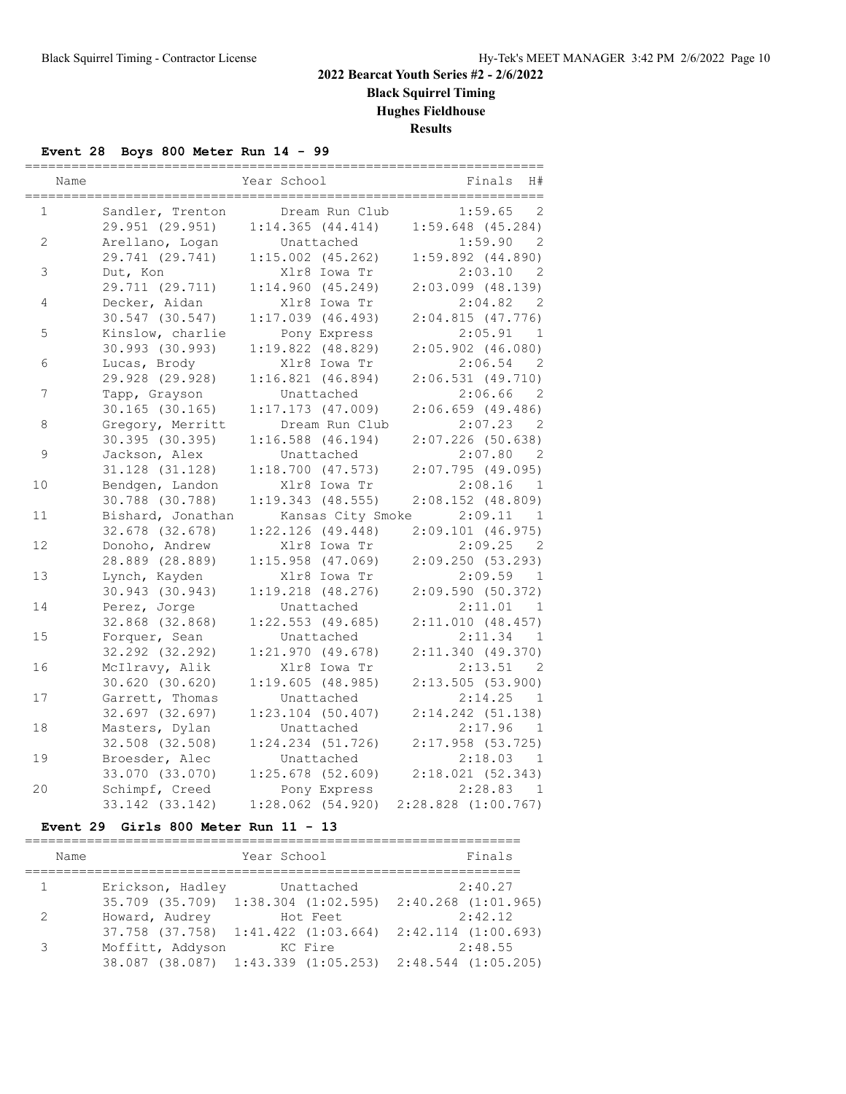**Black Squirrel Timing Hughes Fieldhouse**

**Results**

### **Event 28 Boys 800 Meter Run 14 - 99**

|              | Name |                     | Year School           | H#<br>Finals              |
|--------------|------|---------------------|-----------------------|---------------------------|
| $\mathbf{1}$ |      | Sandler, Trenton    | Dream Run Club        | $\mathbf{2}$<br>1:59.65   |
|              |      | 29.951 (29.951)     | 1:14.365(44.414)      | $1:59.648$ (45.284)       |
| 2            |      | Arellano, Logan     | Unattached            | 1:59.90<br>2              |
|              |      | 29.741 (29.741)     | $1:15.002$ (45.262)   | $1:59.892$ $(44.890)$     |
| 3            |      | Dut, Kon            | Xlr8 Iowa Tr          | 2:03.10<br>$\overline{2}$ |
|              |      | 29.711 (29.711)     | 1:14.960(45.249)      | $2:03.099$ (48.139)       |
| 4            |      | Decker, Aidan       | Xlr8 Iowa Tr          | 2:04.82<br>- 2            |
|              |      | 30.547 (30.547)     | $1:17.039$ (46.493)   | 2:04.815(47.776)          |
| 5            |      | Kinslow, charlie    | Pony Express          | 2:05.91<br><sup>1</sup>   |
|              |      | 30.993 (30.993)     | $1:19.822$ $(48.829)$ | $2:05.902$ $(46.080)$     |
| 6            |      | Lucas, Brody        | Xlr8 Iowa Tr          | 2:06.54<br>- 2            |
|              |      | 29.928 (29.928)     | $1:16.821$ $(46.894)$ | 2:06.531(49.710)          |
| 7            |      | Tapp, Grayson       | Unattached            | 2:06.66<br>- 2            |
|              |      | $30.165$ (30.165)   | $1:17.173$ (47.009)   | 2:06.659(49.486)          |
| 8            |      | Gregory, Merritt    | Dream Run Club        | 2:07.23<br>- 2            |
|              |      | 30.395 (30.395)     | $1:16.588$ (46.194)   | $2:07.226$ (50.638)       |
| $\mathsf 9$  |      | Jackson, Alex       | Unattached            | 2:07.80<br>- 2            |
|              |      | $31.128$ $(31.128)$ | $1:18.700$ $(47.573)$ | 2:07.795(49.095)          |
| 10           |      | Bendgen, Landon     | Xlr8 Iowa Tr          | 2:08.16<br><sup>1</sup>   |
|              |      | 30.788 (30.788)     | $1:19.343$ (48.555)   | $2:08.152$ (48.809)       |
| 11           |      | Bishard, Jonathan   | Kansas City Smoke     | 2:09.11<br>1              |
|              |      | 32.678 (32.678)     | $1:22.126$ (49.448)   | 2:09.101(46.975)          |
| 12           |      | Donoho, Andrew      | Xlr8 Iowa Tr          | 2:09.25<br>$\overline{2}$ |
|              |      | 28.889 (28.889)     | $1:15.958$ (47.069)   | 2:09.250(53.293)          |
| 13           |      | Lynch, Kayden       | Xlr8 Iowa Tr          | 2:09.59<br>1              |
|              |      | 30.943 (30.943)     | $1:19.218$ $(48.276)$ | 2:09.590(50.372)          |
| 14           |      | Perez, Jorge        | Unattached            | 2:11.01<br>- 1            |
|              |      | 32.868 (32.868)     | $1:22.553$ (49.685)   | 2:11.010(48.457)          |
| 15           |      | Forquer, Sean       | Unattached            | 2:11.34<br>1              |
|              |      | 32.292 (32.292)     | 1:21.970(49.678)      | 2:11.340(49.370)          |
| 16           |      | McIlravy, Alik      | Xlr8 Iowa Tr          | 2:13.51<br>2              |
|              |      | $30.620$ $(30.620)$ | 1:19.605(48.985)      | 2:13.505(53.900)          |
| 17           |      | Garrett, Thomas     | Unattached            | 2:14.25<br>$\overline{1}$ |
|              |      | 32.697 (32.697)     | $1:23.104$ (50.407)   | $2:14.242$ (51.138)       |
| 18           |      | Masters, Dylan      | Unattached            | 2:17.96<br>$\mathbf{1}$   |
|              |      | 32.508 (32.508)     | $1:24.234$ $(51.726)$ | $2:17.958$ (53.725)       |
| 19           |      | Broesder, Alec      | Unattached            | 2:18.03<br>1              |
|              |      | 33.070 (33.070)     | $1:25.678$ (52.609)   | 2:18.021(52.343)          |
| 20           |      | Schimpf, Creed      | Pony Express          | 2:28.83<br>1              |
|              |      | 33.142 (33.142)     | $1:28.062$ (54.920)   | $2:28.828$ $(1:00.767)$   |

#### **Event 29 Girls 800 Meter Run 11 - 13**

| Name          |                             | Year School | Finals                                                              |
|---------------|-----------------------------|-------------|---------------------------------------------------------------------|
| $\mathbf{1}$  | Erickson, Hadley Unattached |             | 2:40.27                                                             |
|               |                             |             | 35.709 (35.709) 1:38.304 (1:02.595) 2:40.268 (1:01.965)             |
| $\mathcal{L}$ | Howard, Audrey              | Hot Feet    | 2:42.12                                                             |
|               |                             |             | $37.758$ $(37.758)$ $1:41.422$ $(1:03.664)$ $2:42.114$ $(1:00.693)$ |
| 3             | Moffitt, Addyson            | KC Fire     | 2:48.55                                                             |
|               |                             |             | 38.087 (38.087) 1:43.339 (1:05.253) 2:48.544 (1:05.205)             |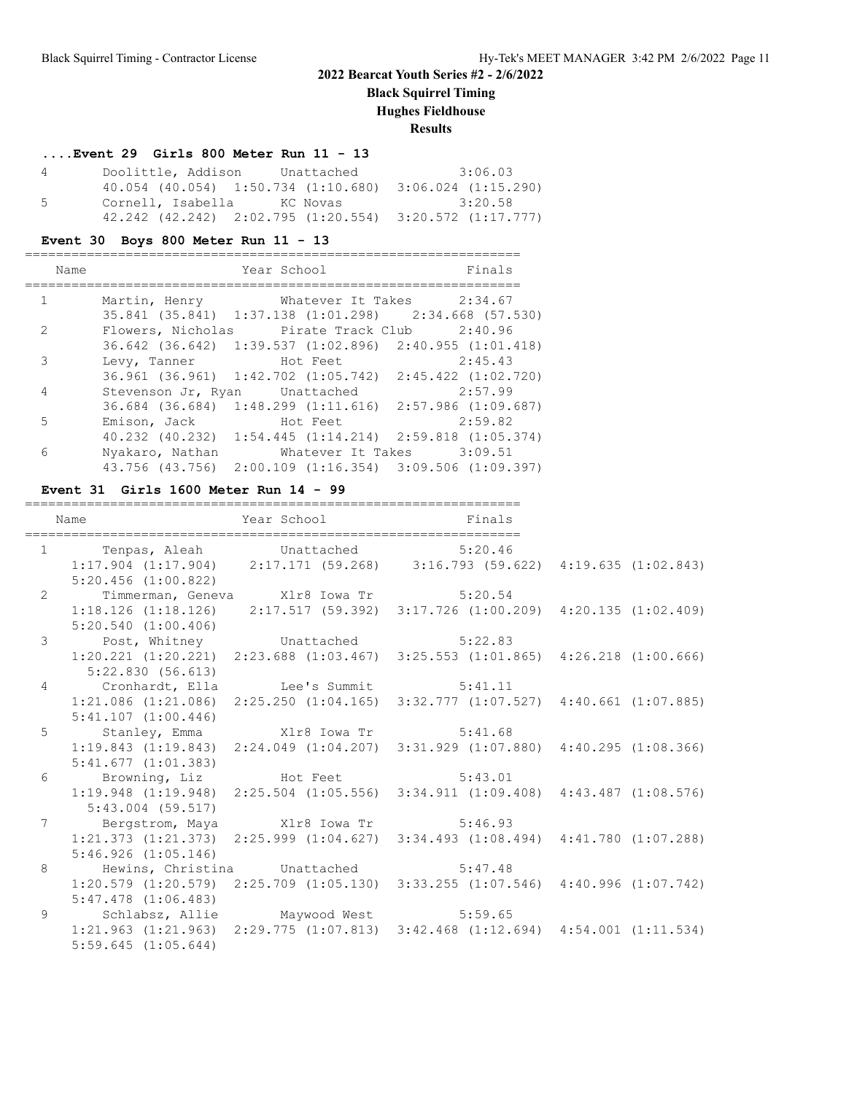**Black Squirrel Timing**

**Hughes Fieldhouse**

**Results**

### **....Event 29 Girls 800 Meter Run 11 - 13**

| 4   | Doolittle, Addison              | Unattached | 3:06.03                                                             |
|-----|---------------------------------|------------|---------------------------------------------------------------------|
|     |                                 |            | $40.054$ (40.054) 1:50.734 (1:10.680) 3:06.024 (1:15.290)           |
| - 5 | Cornell, Isabella      KC Novas |            | 3:20.58                                                             |
|     |                                 |            | $42.242$ $(42.242)$ $2:02.795$ $(1:20.554)$ $3:20.572$ $(1:17.777)$ |

### **Event 30 Boys 800 Meter Run 11 - 13**

|               | Name |                                                         | Year School |                           | Finals  |
|---------------|------|---------------------------------------------------------|-------------|---------------------------|---------|
|               |      |                                                         |             |                           |         |
| $\mathbf{1}$  |      | Martin, Henry Mhatever It Takes 2:34.67                 |             |                           |         |
|               |      | 35.841 (35.841) 1:37.138 (1:01.298) 2:34.668 (57.530)   |             |                           |         |
| $\mathcal{L}$ |      | Flowers, Nicholas                                       |             | Pirate Track Club 2:40.96 |         |
|               |      | 36.642 (36.642) 1:39.537 (1:02.896) 2:40.955 (1:01.418) |             |                           |         |
| 3             |      | Levy, Tanner                                            |             | Hot Feet                  | 2:45.43 |
|               |      | 36.961 (36.961) 1:42.702 (1:05.742) 2:45.422 (1:02.720) |             |                           |         |
| 4             |      | Stevenson Jr, Ryan Unattached                           |             |                           | 2:57.99 |
|               |      | 36.684 (36.684) 1:48.299 (1:11.616) 2:57.986 (1:09.687) |             |                           |         |
| 5             |      | Emison, Jack                                            |             | Hot Feet                  | 2:59.82 |
|               |      | 40.232 (40.232) 1:54.445 (1:14.214) 2:59.818 (1:05.374) |             |                           |         |
| 6             |      | Nyakaro, Nathan                                         |             | Whatever It Takes 3:09.51 |         |
|               |      | 43.756 (43.756) 2:00.109 (1:16.354) 3:09.506 (1:09.397) |             |                           |         |

#### **Event 31 Girls 1600 Meter Run 14 - 99**

|   | Name                    | Year School Finals                       |                                                                                                 |  |
|---|-------------------------|------------------------------------------|-------------------------------------------------------------------------------------------------|--|
|   |                         | 1 Tenpas, Aleah Unattached 5:20.46       |                                                                                                 |  |
|   |                         |                                          | $1:17.904$ (1:17.904) $2:17.171$ (59.268) $3:16.793$ (59.622) $4:19.635$ (1:02.843)             |  |
|   | 5:20.456 (1:00.822)     |                                          |                                                                                                 |  |
|   |                         | 2 Timmerman, Geneva Xlr8 Iowa Tr 5:20.54 |                                                                                                 |  |
|   |                         |                                          | $1:18.126$ (1:18.126) $2:17.517$ (59.392) $3:17.726$ (1:00.209) $4:20.135$ (1:02.409)           |  |
|   | 5:20.540(1:00.406)      |                                          |                                                                                                 |  |
|   |                         | 3 Post, Whitney Unattached 5:22.83       |                                                                                                 |  |
|   |                         |                                          | 1:20.221 (1:20.221) 2:23.688 (1:03.467) 3:25.553 (1:01.865) 4:26.218 (1:00.666)                 |  |
|   | 5:22.830(56.613)        |                                          |                                                                                                 |  |
|   |                         | 4 Cronhardt, Ella Lee's Summit 5:41.11   |                                                                                                 |  |
|   |                         |                                          | $1:21.086$ $(1:21.086)$ $2:25.250$ $(1:04.165)$ $3:32.777$ $(1:07.527)$ $4:40.661$ $(1:07.885)$ |  |
|   | $5:41.107$ $(1:00.446)$ |                                          |                                                                                                 |  |
|   |                         | 5 Stanley, Emma Xlr8 Iowa Tr 5:41.68     |                                                                                                 |  |
|   |                         |                                          | 1:19.843 (1:19.843) 2:24.049 (1:04.207) 3:31.929 (1:07.880) 4:40.295 (1:08.366)                 |  |
|   | 5:41.677(1:01.383)      |                                          |                                                                                                 |  |
|   |                         | 6 Browning, Liz Hot Feet 5:43.01         |                                                                                                 |  |
|   |                         |                                          | $1:19.948$ $(1:19.948)$ $2:25.504$ $(1:05.556)$ $3:34.911$ $(1:09.408)$ $4:43.487$ $(1:08.576)$ |  |
|   | 5:43.004 (59.517)       |                                          |                                                                                                 |  |
|   |                         | 7 Bergstrom, Maya Xlr8 Iowa Tr 5:46.93   |                                                                                                 |  |
|   |                         |                                          | 1:21.373 (1:21.373) 2:25.999 (1:04.627) 3:34.493 (1:08.494) 4:41.780 (1:07.288)                 |  |
|   | $5:46.926$ $(1:05.146)$ |                                          |                                                                                                 |  |
| 8 |                         | Hewins, Christina Unattached 5:47.48     |                                                                                                 |  |
|   |                         |                                          | 1:20.579 (1:20.579) 2:25.709 (1:05.130) 3:33.255 (1:07.546) 4:40.996 (1:07.742)                 |  |
|   | $5:47.478$ $(1:06.483)$ |                                          |                                                                                                 |  |
| 9 |                         | Schlabsz, Allie Maywood West 5:59.65     |                                                                                                 |  |
|   |                         |                                          | 1:21.963 (1:21.963) 2:29.775 (1:07.813) 3:42.468 (1:12.694) 4:54.001 (1:11.534)                 |  |
|   | $5:59.645$ $(1:05.644)$ |                                          |                                                                                                 |  |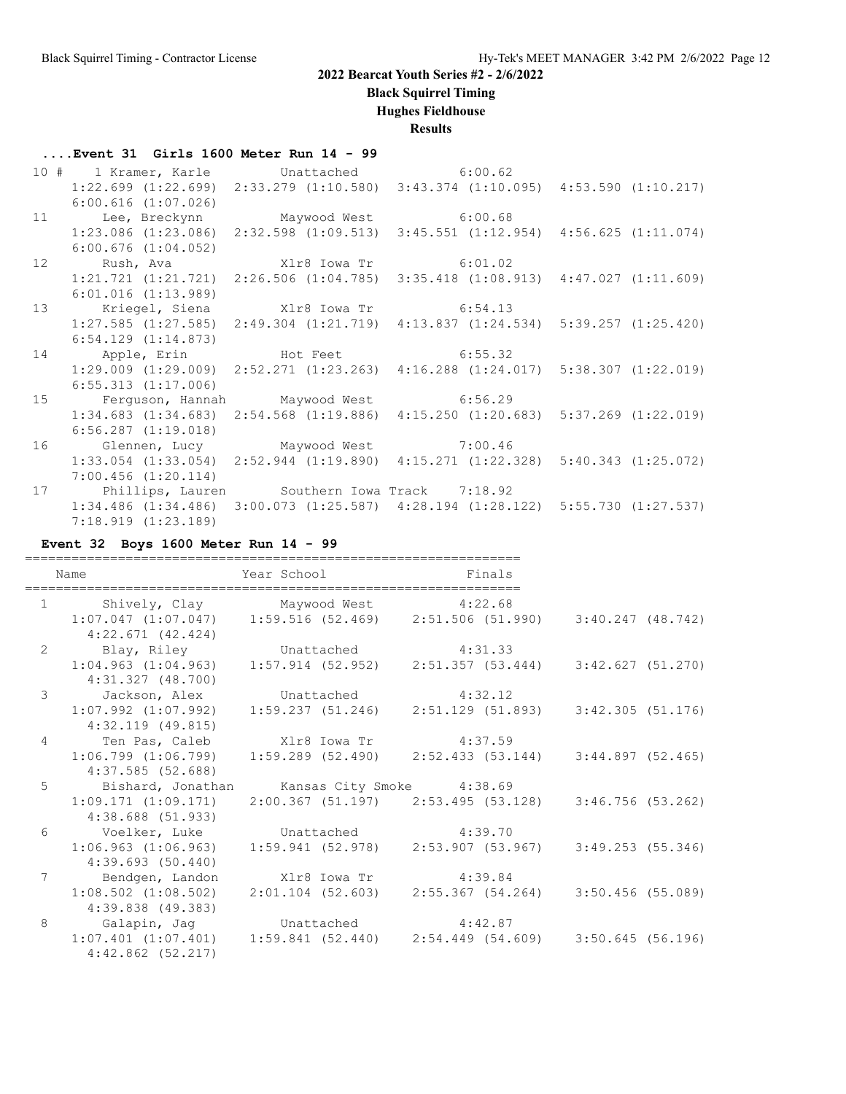**Black Squirrel Timing**

### **Hughes Fieldhouse**

**Results**

### **....Event 31 Girls 1600 Meter Run 14 - 99**

|    | 10 # 1 Kramer, Karle Unattached 6:00.62         |                                                                                                 |  |
|----|-------------------------------------------------|-------------------------------------------------------------------------------------------------|--|
|    |                                                 | $1:22.699$ $(1:22.699)$ $2:33.279$ $(1:10.580)$ $3:43.374$ $(1:10.095)$ $4:53.590$ $(1:10.217)$ |  |
|    | $6:00.616$ $(1:07.026)$                         |                                                                                                 |  |
|    | 11 Lee, Breckynn Maywood West 6:00.68           |                                                                                                 |  |
|    |                                                 | $1:23.086$ (1:23.086) $2:32.598$ (1:09.513) $3:45.551$ (1:12.954) $4:56.625$ (1:11.074)         |  |
|    | $6:00.676$ $(1:04.052)$                         |                                                                                                 |  |
| 12 |                                                 |                                                                                                 |  |
|    |                                                 | $1:21.721$ $(1:21.721)$ $2:26.506$ $(1:04.785)$ $3:35.418$ $(1:08.913)$ $4:47.027$ $(1:11.609)$ |  |
|    | $6:01.016$ $(1:13.989)$                         |                                                                                                 |  |
| 13 | Kriegel, Siena Mir8 Iowa Tr 6:54.13             |                                                                                                 |  |
|    |                                                 | $1:27.585$ $(1:27.585)$ $2:49.304$ $(1:21.719)$ $4:13.837$ $(1:24.534)$ $5:39.257$ $(1:25.420)$ |  |
|    | $6:54.129$ $(1:14.873)$                         |                                                                                                 |  |
|    |                                                 |                                                                                                 |  |
|    | 14 Apple, Erin Hot Feet 6:55.32                 |                                                                                                 |  |
|    |                                                 | 1:29.009 (1:29.009) 2:52.271 (1:23.263) 4:16.288 (1:24.017) 5:38.307 (1:22.019)                 |  |
|    | $6:55.313$ $(1:17.006)$                         |                                                                                                 |  |
|    | 15 Ferguson, Hannah Maywood West 6:56.29        |                                                                                                 |  |
|    |                                                 | 1:34.683 (1:34.683) 2:54.568 (1:19.886) 4:15.250 (1:20.683) 5:37.269 (1:22.019)                 |  |
|    | $6:56.287$ $(1:19.018)$                         |                                                                                                 |  |
|    | 16 Glennen, Lucy Maywood West 7:00.46           |                                                                                                 |  |
|    |                                                 | 1:33.054 (1:33.054) 2:52.944 (1:19.890) 4:15.271 (1:22.328) 5:40.343 (1:25.072)                 |  |
|    | $7:00.456$ $(1:20.114)$                         |                                                                                                 |  |
|    | 17 Phillips, Lauren Southern Iowa Track 7:18.92 |                                                                                                 |  |
|    |                                                 | $1:34.486$ (1:34.486) 3:00.073 (1:25.587) 4:28.194 (1:28.122) 5:55.730 (1:27.537)               |  |

### **Event 32 Boys 1600 Meter Run 14 - 99**

|                 | Name                                        | Year School and the School and the School | Finals                                                                                    |
|-----------------|---------------------------------------------|-------------------------------------------|-------------------------------------------------------------------------------------------|
|                 | 1 Shively, Clay Maywood West 4:22.68        |                                           |                                                                                           |
|                 |                                             |                                           | $1:07.047$ (1:07.047) $1:59.516$ (52.469) $2:51.506$ (51.990) $3:40.247$ (48.742)         |
|                 | $4:22.671$ (42.424)                         |                                           |                                                                                           |
|                 | 2 Blay, Riley Unattached 4:31.33            |                                           |                                                                                           |
|                 |                                             |                                           | $1:04.963$ (1:04.963) $1:57.914$ (52.952) $2:51.357$ (53.444) $3:42.627$ (51.270)         |
|                 | 4:31.327 (48.700)                           |                                           |                                                                                           |
| $\mathcal{S}$   | Jackson, Alex Unattached 4:32.12            |                                           |                                                                                           |
|                 |                                             |                                           | $1:07.992$ $(1:07.992)$ $1:59.237$ $(51.246)$ $2:51.129$ $(51.893)$ $3:42.305$ $(51.176)$ |
|                 | 4:32.119 (49.815)                           |                                           |                                                                                           |
| $\overline{4}$  | Ten Pas, Caleb Xlr8 Iowa Tr 4:37.59         |                                           |                                                                                           |
|                 |                                             |                                           | $1:06.799$ $(1:06.799)$ $1:59.289$ $(52.490)$ $2:52.433$ $(53.144)$ $3:44.897$ $(52.465)$ |
|                 | 4:37.585 (52.688)                           |                                           |                                                                                           |
| 5               | Bishard, Jonathan Kansas City Smoke 4:38.69 |                                           |                                                                                           |
|                 |                                             |                                           | 1:09.171 (1:09.171) 2:00.367 (51.197) 2:53.495 (53.128) 3:46.756 (53.262)                 |
|                 | 4:38.688 (51.933)                           |                                           |                                                                                           |
| 6               | Voelker, Luke Unattached 4:39.70            |                                           |                                                                                           |
|                 |                                             |                                           | $1:06.963$ (1:06.963) 1:59.941 (52.978) 2:53.907 (53.967) 3:49.253 (55.346)               |
|                 | 4:39.693 (50.440)                           |                                           |                                                                                           |
| $7\overline{ }$ | Bendgen, Landon Xlr8 Iowa Tr 4:39.84        |                                           |                                                                                           |
|                 |                                             |                                           | $1:08.502$ (1:08.502) $2:01.104$ (52.603) $2:55.367$ (54.264) $3:50.456$ (55.089)         |
|                 | 4:39.838 (49.383)                           |                                           |                                                                                           |
| 8               | Galapin, Jag battached 4:42.87              |                                           |                                                                                           |
|                 |                                             |                                           | $1:07.401$ $(1:07.401)$ $1:59.841$ $(52.440)$ $2:54.449$ $(54.609)$ $3:50.645$ $(56.196)$ |
|                 | $4:42.862$ $(52.217)$                       |                                           |                                                                                           |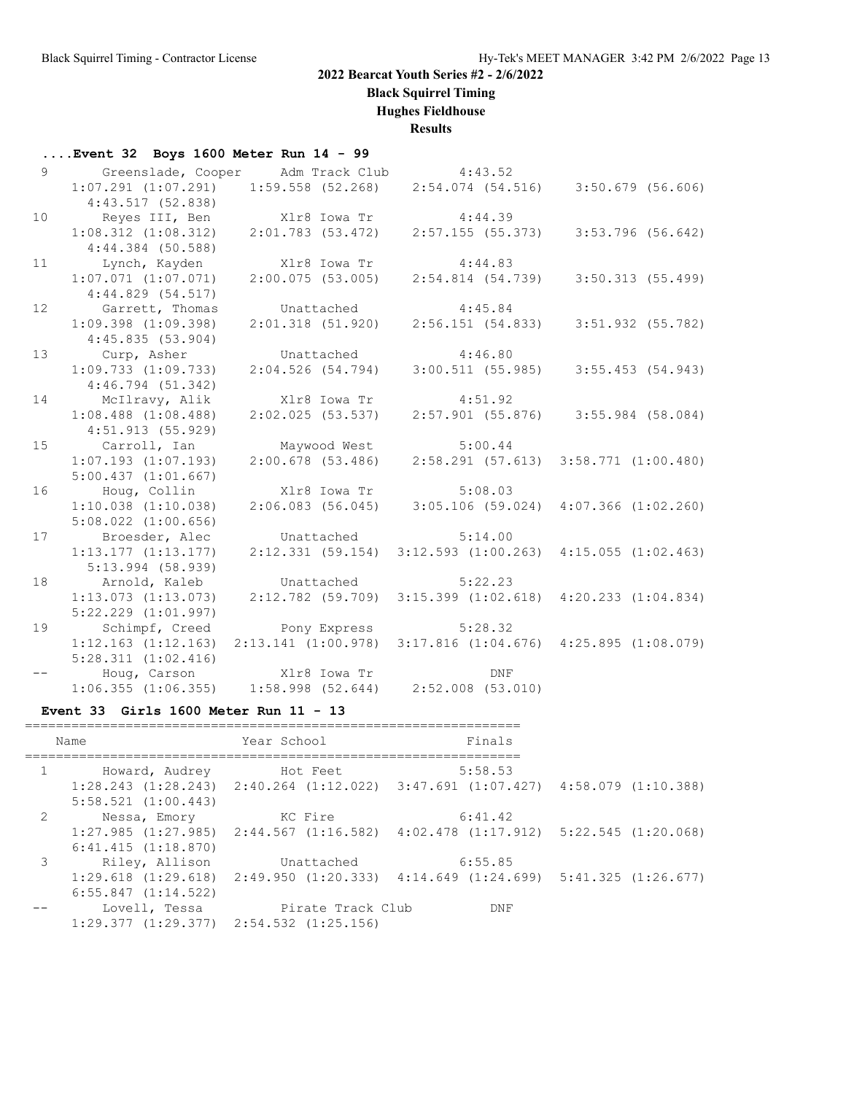**Black Squirrel Timing**

**Hughes Fieldhouse**

### **Results**

| $\ldots$ Event 32 Boys 1600 Meter Run 14 - 99 |  |  |  |  |  |  |  |  |
|-----------------------------------------------|--|--|--|--|--|--|--|--|
|-----------------------------------------------|--|--|--|--|--|--|--|--|

| 9               | Greenslade, Cooper Adm Track Club 4:43.52                                                |                      |                                                                                 |                                       |
|-----------------|------------------------------------------------------------------------------------------|----------------------|---------------------------------------------------------------------------------|---------------------------------------|
|                 | $1:07.291$ $(1:07.291)$                                                                  |                      | $1:59.558$ (52.268) $2:54.074$ (54.516) $3:50.679$ (56.606)                     |                                       |
|                 | 4:43.517(52.838)                                                                         |                      |                                                                                 |                                       |
| 10              | Reyes III, Ben                                                                           | Xlr8 Iowa Tr 4:44.39 |                                                                                 |                                       |
|                 | $1:08.312$ $(1:08.312)$                                                                  |                      | 2:01.783 (53.472) 2:57.155 (55.373) 3:53.796 (56.642)                           |                                       |
|                 | $4:44.384$ (50.588)                                                                      |                      |                                                                                 |                                       |
| 11              | Lynch, Kayden                                                                            | Xlr8 Iowa Tr         | 4:44.83                                                                         |                                       |
|                 | $1:07.071$ $(1:07.071)$                                                                  |                      | $2:00.075$ (53.005) $2:54.814$ (54.739) $3:50.313$ (55.499)                     |                                       |
|                 | 4:44.829(54.517)                                                                         |                      |                                                                                 |                                       |
| 12 <sup>°</sup> | Garrett, Thomas                                                                          | Unattached           | 4:45.84                                                                         |                                       |
|                 | $1:09.398$ $(1:09.398)$                                                                  |                      | $2:01.318$ $(51.920)$ $2:56.151$ $(54.833)$                                     | $3:51.932$ (55.782)                   |
|                 | 4:45.835(53.904)                                                                         |                      |                                                                                 |                                       |
| 13 <sup>°</sup> | Curp, Asher Unattached 4:46.80                                                           |                      |                                                                                 |                                       |
|                 | $1:09.733$ $(1:09.733)$                                                                  |                      | $2:04.526$ (54.794) 3:00.511 (55.985)                                           | 3:55.453(54.943)                      |
|                 | 4:46.794(51.342)                                                                         |                      |                                                                                 |                                       |
| 14              | McIlravy, Alik                                                                           | Xlr8 Iowa Tr         | 4:51.92                                                                         |                                       |
|                 | $1:08.488$ $(1:08.488)$                                                                  | $2:02.025$ (53.537)  |                                                                                 | $2:57.901$ (55.876) 3:55.984 (58.084) |
|                 | 4:51.913 (55.929)                                                                        |                      |                                                                                 |                                       |
| 15              | Carroll, Ian                                                                             | Maywood West         | 5:00.44                                                                         |                                       |
|                 | $1:07.193$ $(1:07.193)$                                                                  |                      | $2:00.678$ (53.486) $2:58.291$ (57.613) $3:58.771$ (1:00.480)                   |                                       |
|                 | 5:00.437(1:01.667)                                                                       |                      |                                                                                 |                                       |
| 16              | Houg, Collin                                                                             | X1r8 Iowa Tr 5:08.03 |                                                                                 |                                       |
|                 | $1:10.038$ $(1:10.038)$                                                                  |                      | $2:06.083$ (56.045) 3:05.106 (59.024) 4:07.366 (1:02.260)                       |                                       |
|                 | $5:08.022$ $(1:00.656)$                                                                  |                      |                                                                                 |                                       |
| 17              | Broesder, Alec                                                                           | Unattached 5:14.00   |                                                                                 |                                       |
|                 | $1:13.177$ $(1:13.177)$                                                                  |                      | $2:12.331$ (59.154) $3:12.593$ (1:00.263) $4:15.055$ (1:02.463)                 |                                       |
|                 | 5:13.994 (58.939)                                                                        |                      |                                                                                 |                                       |
| 18              | Arnold, Kaleb                                                                            | Unattached           | 5:22.23                                                                         |                                       |
|                 | $1:13.073$ $(1:13.073)$                                                                  |                      | 2:12.782 (59.709) 3:15.399 (1:02.618) 4:20.233 (1:04.834)                       |                                       |
|                 | $5:22.229$ $(1:01.997)$                                                                  |                      |                                                                                 |                                       |
| 19              | Schimpf, Creed                                                                           | Pony Express 5:28.32 |                                                                                 |                                       |
|                 |                                                                                          |                      | 1:12.163 (1:12.163) 2:13.141 (1:00.978) 3:17.816 (1:04.676) 4:25.895 (1:08.079) |                                       |
|                 | $5:28.311$ $(1:02.416)$                                                                  |                      |                                                                                 |                                       |
| $- -$           | Houg, Carson Mir8 Iowa Tr DNF<br>1:06.355 (1:06.355) 1:58.998 (52.644) 2:52.008 (53.010) |                      |                                                                                 |                                       |
|                 |                                                                                          |                      |                                                                                 |                                       |

#### **Event 33 Girls 1600 Meter Run 11 - 13**

|               | Name                                            | Year School       | Finals                                                                                          |  |
|---------------|-------------------------------------------------|-------------------|-------------------------------------------------------------------------------------------------|--|
| $\mathbf{1}$  | Howard, Audrey                                  | Hot Feet          | 5:58.53                                                                                         |  |
|               | $5:58.521$ $(1:00.443)$                         |                   | $1:28.243$ $(1:28.243)$ $2:40.264$ $(1:12.022)$ $3:47.691$ $(1:07.427)$ $4:58.079$ $(1:10.388)$ |  |
| 2             | Nessa, Emory                                    | KC Fire           | 6:41.42                                                                                         |  |
|               | 6:41.415(1:18.870)                              |                   | $1:27.985$ $(1:27.985)$ $2:44.567$ $(1:16.582)$ $4:02.478$ $(1:17.912)$ $5:22.545$ $(1:20.068)$ |  |
| $\mathcal{E}$ | Riley, Allison                                  | Unattached        | 6:55.85                                                                                         |  |
|               | $6:55.847$ $(1:14.522)$                         |                   | $1:29.618$ $(1:29.618)$ $2:49.950$ $(1:20.333)$ $4:14.649$ $(1:24.699)$ $5:41.325$ $(1:26.677)$ |  |
|               | Lovell, Tessa                                   | Pirate Track Club | DNF                                                                                             |  |
|               | $1:29.377$ $(1:29.377)$ $2:54.532$ $(1:25.156)$ |                   |                                                                                                 |  |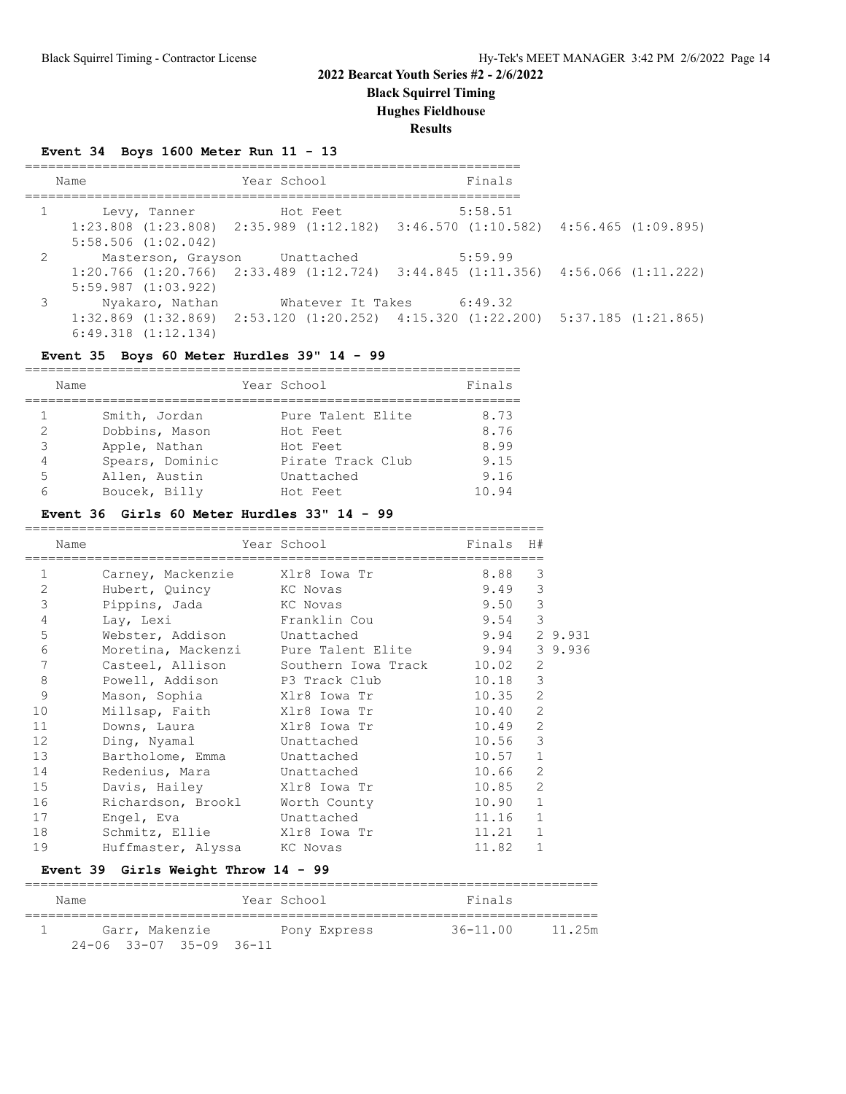**Black Squirrel Timing**

**Hughes Fieldhouse**

**Results**

### **Event 34 Boys 1600 Meter Run 11 - 13**

|   | Name                                                      | Year School                   | Finals                                                                                                                       |  |
|---|-----------------------------------------------------------|-------------------------------|------------------------------------------------------------------------------------------------------------------------------|--|
|   | Levy, Tanner                                              | Hot Feet                      | 5:58.51<br>$1:23.808$ $(1:23.808)$ $2:35.989$ $(1:12.182)$ $3:46.570$ $(1:10.582)$ $4:56.465$ $(1:09.895)$                   |  |
|   | $5:58.506$ $(1:02.042)$<br>$2 \left( \frac{1}{2} \right)$ | Masterson, Grayson Unattached | 5:59.99                                                                                                                      |  |
|   | $5:59.987$ $(1:03.922)$                                   |                               | $1:20.766$ (1:20.766) $2:33.489$ (1:12.724) $3:44.845$ (1:11.356) $4:56.066$ (1:11.222)                                      |  |
| 3 | Nyakaro, Nathan<br>$6:49.318$ $(1:12.134)$                |                               | Whatever It Takes 6:49.32<br>$1:32.869$ $(1:32.869)$ $2:53.120$ $(1:20.252)$ $4:15.320$ $(1:22.200)$ $5:37.185$ $(1:21.865)$ |  |

### **Event 35 Boys 60 Meter Hurdles 39" 14 - 99**

|   | Name            | Year School       | Finals |
|---|-----------------|-------------------|--------|
|   |                 |                   |        |
|   | Smith, Jordan   | Pure Talent Elite | 8.73   |
| 2 | Dobbins, Mason  | Hot Feet          | 8.76   |
| 3 | Apple, Nathan   | Hot Feet          | 8.99   |
| 4 | Spears, Dominic | Pirate Track Club | 9.15   |
| 5 | Allen, Austin   | Unattached        | 9.16   |
|   | Boucek, Billy   | Hot Feet          | 10.94  |

#### **Event 36 Girls 60 Meter Hurdles 33" 14 - 99**

|              | Name |                                | Year School                               | Finals | H#             |         |
|--------------|------|--------------------------------|-------------------------------------------|--------|----------------|---------|
| $\mathbf{1}$ |      | Carney, Mackenzie Xlr8 Iowa Tr |                                           | 8.88   | 3              |         |
| 2            |      | Hubert, Quincy KC Novas        |                                           | 9.49   | 3              |         |
| 3            |      | Pippins, Jada                  | KC Novas                                  | 9.50   | $\mathcal{S}$  |         |
| 4            |      | Lav, Lexi                      | Franklin Cou                              | 9.54   | 3              |         |
| 5            |      | Webster, Addison Unattached    |                                           | 9.94   |                | 2 9.931 |
| 6            |      |                                | Moretina, Mackenzi Pure Talent Elite 9.94 |        |                | 3 9.936 |
| 7            |      | Casteel, Allison               | Southern Iowa Track                       | 10.02  | 2              |         |
| 8            |      | Powell, Addison                | P3 Track Club                             | 10.18  | $\mathfrak{Z}$ |         |
| 9            |      | Mason, Sophia Xlr8 Iowa Tr     |                                           | 10.35  | $\overline{2}$ |         |
| 10           |      | Millsap, Faith                 | Xlr8 Iowa Tr                              | 10.40  | 2              |         |
| 11           |      | Downs, Laura                   | Xlr8 Iowa Tr                              | 10.49  | 2              |         |
| 12           |      | Ding, Nyamal Unattached        |                                           | 10.56  | 3              |         |
| 13           |      | Bartholome, Emma               | Unattached                                | 10.57  | $\mathbf{1}$   |         |
| 14           |      | Redenius, Mara Unattached      |                                           | 10.66  | 2              |         |
| 15           |      | Davis, Hailey                  | Xlr8 Iowa Tr                              | 10.85  | $\overline{2}$ |         |
| 16           |      | Richardson, Brookl             | Worth County                              | 10.90  | $\mathbf{1}$   |         |
| 17           |      | Engel, Eva                     | Unattached                                | 11.16  | $\mathbf{1}$   |         |
| 18           |      | Schmitz, Ellie Xlr8 Iowa Tr    |                                           | 11.21  | $\mathbf{1}$   |         |
| 19           |      | Huffmaster, Alyssa KC Novas    |                                           | 11.82  | $\mathbf{1}$   |         |

#### **Event 39 Girls Weight Throw 14 - 99**

| Name |                |                             | Year School |              | Finals       |        |
|------|----------------|-----------------------------|-------------|--------------|--------------|--------|
|      | Garr, Makenzie |                             |             | Pony Express | $36 - 11.00$ | 11.25m |
|      |                | $24 - 06$ 33-07 35-09 36-11 |             |              |              |        |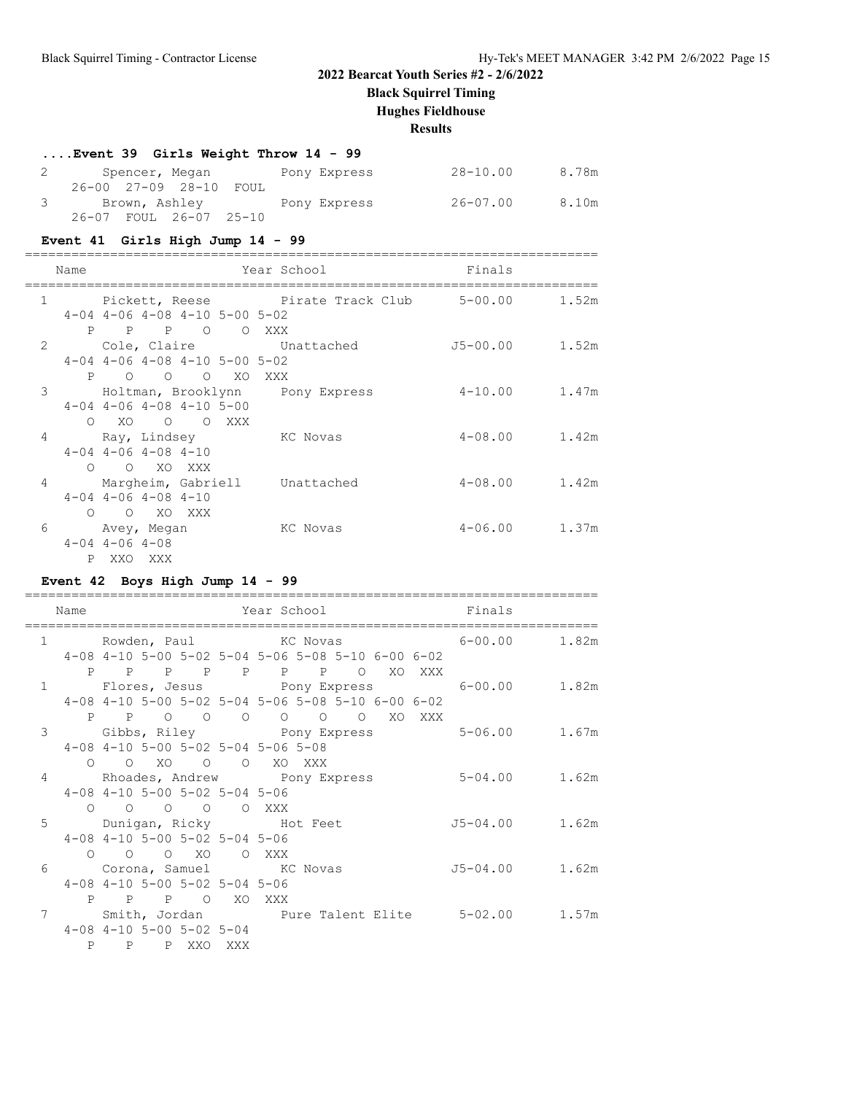**Black Squirrel Timing**

**Hughes Fieldhouse**

**Results**

### **....Event 39 Girls Weight Throw 14 - 99**

| Spencer, Megan         | Pony Express | 28-10.00 | 8.78m |
|------------------------|--------------|----------|-------|
| 26-00 27-09 28-10 FOUL |              |          |       |
| 3 Brown, Ashley        | Pony Express | 26-07.00 | 8.10m |
| 26-07 FOUL 26-07 25-10 |              |          |       |

### **Event 41 Girls High Jump 14 - 99**

==========================================================================

| Name           |           | Finals                                                                                                                                         |                                                                                                                                                                                                                                                                                                                  |                                          |
|----------------|-----------|------------------------------------------------------------------------------------------------------------------------------------------------|------------------------------------------------------------------------------------------------------------------------------------------------------------------------------------------------------------------------------------------------------------------------------------------------------------------|------------------------------------------|
| $\mathbf{1}$   |           |                                                                                                                                                |                                                                                                                                                                                                                                                                                                                  | 1.52m                                    |
|                |           | O XXX                                                                                                                                          |                                                                                                                                                                                                                                                                                                                  |                                          |
| 2              |           |                                                                                                                                                | $J5-00.00$ 1.52m                                                                                                                                                                                                                                                                                                 |                                          |
|                |           |                                                                                                                                                |                                                                                                                                                                                                                                                                                                                  |                                          |
|                |           |                                                                                                                                                |                                                                                                                                                                                                                                                                                                                  |                                          |
| 3              |           |                                                                                                                                                | $4 - 10.00$                                                                                                                                                                                                                                                                                                      | 1.47m                                    |
|                |           |                                                                                                                                                |                                                                                                                                                                                                                                                                                                                  |                                          |
|                |           |                                                                                                                                                |                                                                                                                                                                                                                                                                                                                  |                                          |
| $\overline{4}$ |           |                                                                                                                                                | $4 - 08.00$ 1.42m                                                                                                                                                                                                                                                                                                |                                          |
|                |           |                                                                                                                                                |                                                                                                                                                                                                                                                                                                                  |                                          |
|                |           |                                                                                                                                                |                                                                                                                                                                                                                                                                                                                  |                                          |
| 4              |           |                                                                                                                                                | $4 - 08.00$                                                                                                                                                                                                                                                                                                      | 1.42m                                    |
|                |           |                                                                                                                                                |                                                                                                                                                                                                                                                                                                                  |                                          |
|                |           |                                                                                                                                                |                                                                                                                                                                                                                                                                                                                  |                                          |
| 6              |           | KC Novas                                                                                                                                       | $4 - 06.00$                                                                                                                                                                                                                                                                                                      | 1.37m                                    |
|                |           |                                                                                                                                                |                                                                                                                                                                                                                                                                                                                  |                                          |
|                |           |                                                                                                                                                |                                                                                                                                                                                                                                                                                                                  |                                          |
|                | $\bigcap$ | $4-04$ $4-06$ $4-08$ $4-10$<br>O XO XXX<br>$4-04$ $4-06$ $4-08$ $4-10$<br>O O XO XXX<br>Avey, Megan<br>$4 - 04$ $4 - 06$ $4 - 08$<br>P XXO XXX | Year School<br>$4-04$ $4-06$ $4-08$ $4-10$ $5-00$ $5-02$<br>P P P O<br>Cole, Claire Unattached<br>$4-04$ $4-06$ $4-08$ $4-10$ $5-00$ $5-02$<br>P O O O XO XXX<br>Holtman, Brooklynn Pony Express<br>$4-04$ $4-06$ $4-08$ $4-10$ $5-00$<br>O XO O O XXX<br>Ray, Lindsey KC Novas<br>Margheim, Gabriell Unattached | Pickett, Reese Pirate Track Club 5-00.00 |

### **Event 42 Boys High Jump 14 - 99**

|                 | Name                      |                                    |  |                                                                       | Year School |  |  | Finals |                                               |
|-----------------|---------------------------|------------------------------------|--|-----------------------------------------------------------------------|-------------|--|--|--------|-----------------------------------------------|
|                 |                           |                                    |  |                                                                       |             |  |  |        |                                               |
| $\mathbf{1}$    |                           |                                    |  |                                                                       |             |  |  |        | Rowden, Paul KC Novas 6-00.00 1.82m           |
|                 |                           |                                    |  | $4-08$ $4-10$ $5-00$ $5-02$ $5-04$ $5-06$ $5-08$ $5-10$ $6-00$ $6-02$ |             |  |  |        |                                               |
|                 |                           |                                    |  | P P P P P P P O XO XXX                                                |             |  |  |        |                                               |
| $\mathbf{1}$    |                           |                                    |  |                                                                       |             |  |  |        |                                               |
|                 |                           |                                    |  | 4-08 4-10 5-00 5-02 5-04 5-06 5-08 5-10 6-00 6-02                     |             |  |  |        |                                               |
|                 |                           |                                    |  | P P O O O O O O XO XXX                                                |             |  |  |        |                                               |
| $\mathcal{E}$   |                           |                                    |  |                                                                       |             |  |  |        |                                               |
|                 |                           |                                    |  | $4-08$ $4-10$ $5-00$ $5-02$ $5-04$ $5-06$ $5-08$                      |             |  |  |        |                                               |
|                 |                           |                                    |  | 0 0 XO 0 0 XO XXX                                                     |             |  |  |        |                                               |
| $4\overline{ }$ |                           |                                    |  | Rhoades, Andrew Pony Express                                          |             |  |  |        | $5 - 04.00$ 1.62m                             |
|                 |                           |                                    |  | $4-08$ $4-10$ $5-00$ $5-02$ $5-04$ $5-06$                             |             |  |  |        |                                               |
|                 |                           |                                    |  | $\begin{matrix} 0 & 0 & 0 & 0 & 0 & \text{XXX} \end{matrix}$          |             |  |  |        |                                               |
|                 | 5 Dunigan, Ricky Hot Feet |                                    |  |                                                                       |             |  |  |        | $J5-04.00$ 1.62m                              |
|                 |                           |                                    |  | $4-08$ $4-10$ $5-00$ $5-02$ $5-04$ $5-06$                             |             |  |  |        |                                               |
|                 |                           |                                    |  | 0 0 0 XO 0 XXX                                                        |             |  |  |        |                                               |
| 6               |                           |                                    |  | Corona, Samuel KC Novas                                               |             |  |  |        | J5-04.00 1.62m                                |
|                 |                           |                                    |  | $4-08$ $4-10$ $5-00$ $5-02$ $5-04$ $5-06$                             |             |  |  |        |                                               |
|                 |                           |                                    |  | P P P O XO XXX                                                        |             |  |  |        |                                               |
| 7               |                           |                                    |  |                                                                       |             |  |  |        | Smith, Jordan Bure Talent Elite 5-02.00 1.57m |
|                 |                           | $4-08$ $4-10$ $5-00$ $5-02$ $5-04$ |  |                                                                       |             |  |  |        |                                               |
|                 |                           | P P P XXO XXX                      |  |                                                                       |             |  |  |        |                                               |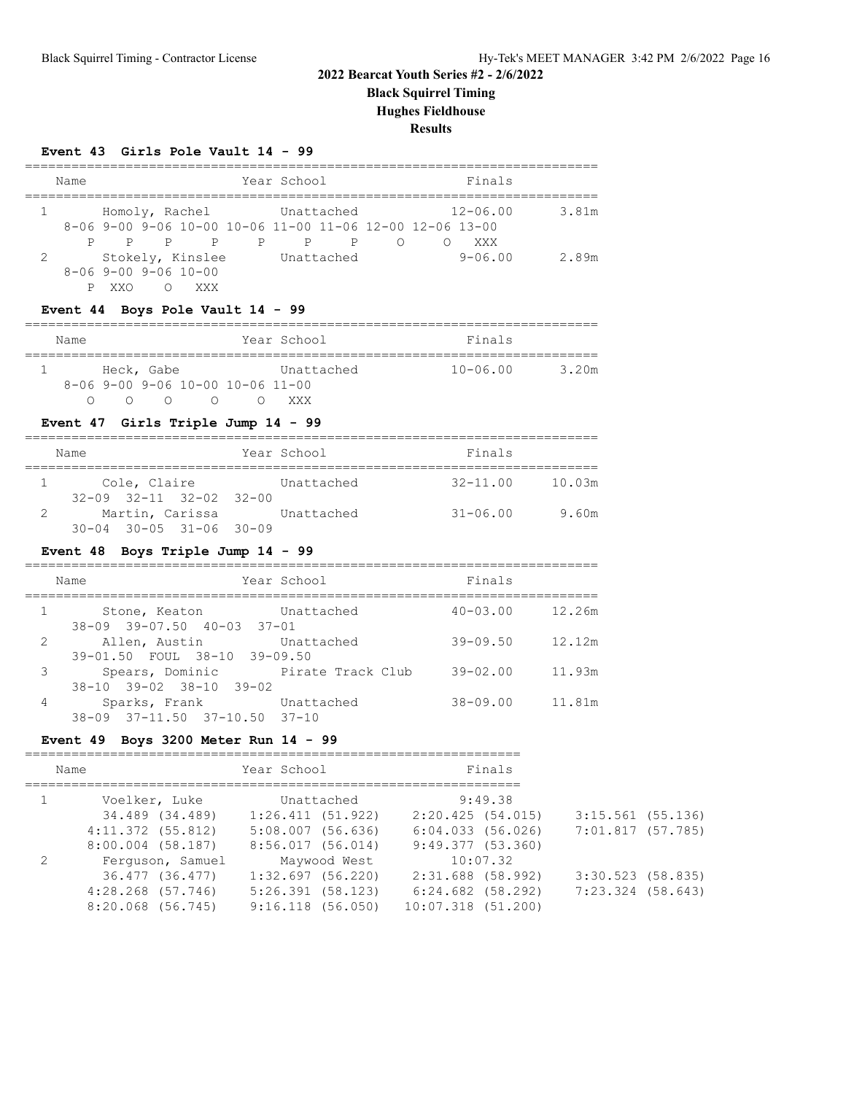**Black Squirrel Timing**

**Hughes Fieldhouse**

#### **Results**

#### **Event 43 Girls Pole Vault 14 - 99**

|   | Name                   |     |  |                             |  | Year School               |            |            | Finals                                                     |              |       |
|---|------------------------|-----|--|-----------------------------|--|---------------------------|------------|------------|------------------------------------------------------------|--------------|-------|
|   | $1 \quad \blacksquare$ |     |  |                             |  | Homoly, Rachel Unattached |            |            |                                                            | $12 - 06.00$ | 3.81m |
|   |                        |     |  |                             |  |                           |            |            | $8-06$ 9-00 9-06 10-00 10-06 11-00 11-06 12-00 12-06 13-00 |              |       |
|   |                        | P P |  | $\overline{P}$              |  | P P                       | P          | $\bigcirc$ |                                                            | XXX          |       |
| 2 |                        |     |  | Stokely, Kinslee            |  |                           | Unattached |            |                                                            | $9 - 06.00$  | 2.89m |
|   |                        |     |  | $8 - 069 - 009 - 0610 - 00$ |  |                           |            |            |                                                            |              |       |
|   |                        | XXO |  | XXX                         |  |                           |            |            |                                                            |              |       |

#### **Event 44 Boys Pole Vault 14 - 99**

| Name |            |  |                                    | Year School |            | Finals       |       |
|------|------------|--|------------------------------------|-------------|------------|--------------|-------|
|      |            |  |                                    |             |            |              |       |
|      | Heck, Gabe |  |                                    |             | Unattached | $10 - 06.00$ | 3.20m |
|      |            |  | $8-06$ 9-00 9-06 10-00 10-06 11-00 |             |            |              |       |
|      |            |  |                                    | XXX.        |            |              |       |

### **Event 47 Girls Triple Jump 14 - 99**

| Name                                                                                          | Year School | Finals                 |  |
|-----------------------------------------------------------------------------------------------|-------------|------------------------|--|
| Cole, Claire                                                                                  | Unattached  | $32 - 11.00$<br>10.03m |  |
| $32-09$ $32-11$ $32-02$ $32-00$<br>Martin, Carissa<br>$30 - 04$ $30 - 05$ $31 - 06$ $30 - 09$ | Unattached  | $31 - 06.00$<br>9.60m  |  |

### **Event 48 Boys Triple Jump 14 - 99**

|   | Name                                                   | Year School       | Finals       |        |
|---|--------------------------------------------------------|-------------------|--------------|--------|
|   | Stone, Keaton<br>38-09 39-07.50 40-03 37-01            | Unattached        | $40 - 03.00$ | 12.26m |
| 2 | Allen, Austin<br>39-01.50 FOUL 38-10 39-09.50          | Unattached        | $39 - 09.50$ | 12.12m |
| 3 | Spears, Dominic<br>$38-10$ $39-02$ $38-10$ $39-02$     | Pirate Track Club | $39 - 02.00$ | 11.93m |
| 4 | Sparks, Frank<br>$38-09$ $37-11.50$ $37-10.50$ $37-10$ | Unattached        | $38 - 09.00$ | 11.81m |

#### **Event 49 Boys 3200 Meter Run 14 - 99**

| Name                  | Year School         | Finals                 |                     |
|-----------------------|---------------------|------------------------|---------------------|
| Voelker, Luke         | Unattached          | 9:49.38                |                     |
| 34.489 (34.489)       | 1:26.411(51.922)    | 2:20.425(54.015)       | $3:15.561$ (55.136) |
| $4:11.372$ $(55.812)$ | $5:08.007$ (56.636) | 6:04.033(56.026)       | 7:01.817 (57.785)   |
| $8:00.004$ (58.187)   | 8:56.017(56.014)    | 9:49.377(53.360)       |                     |
| Ferguson, Samuel      | Maywood West        | 10:07.32               |                     |
| 36.477 (36.477)       | $1:32.697$ (56.220) | 2:31.688 (58.992)      | $3:30.523$ (58.835) |
| $4:28.268$ (57.746)   | $5:26.391$ (58.123) | $6:24.682$ (58.292)    | 7:23.324 (58.643)   |
| $8:20.068$ (56.745)   | $9:16.118$ (56.050) | $10:07.318$ $(51.200)$ |                     |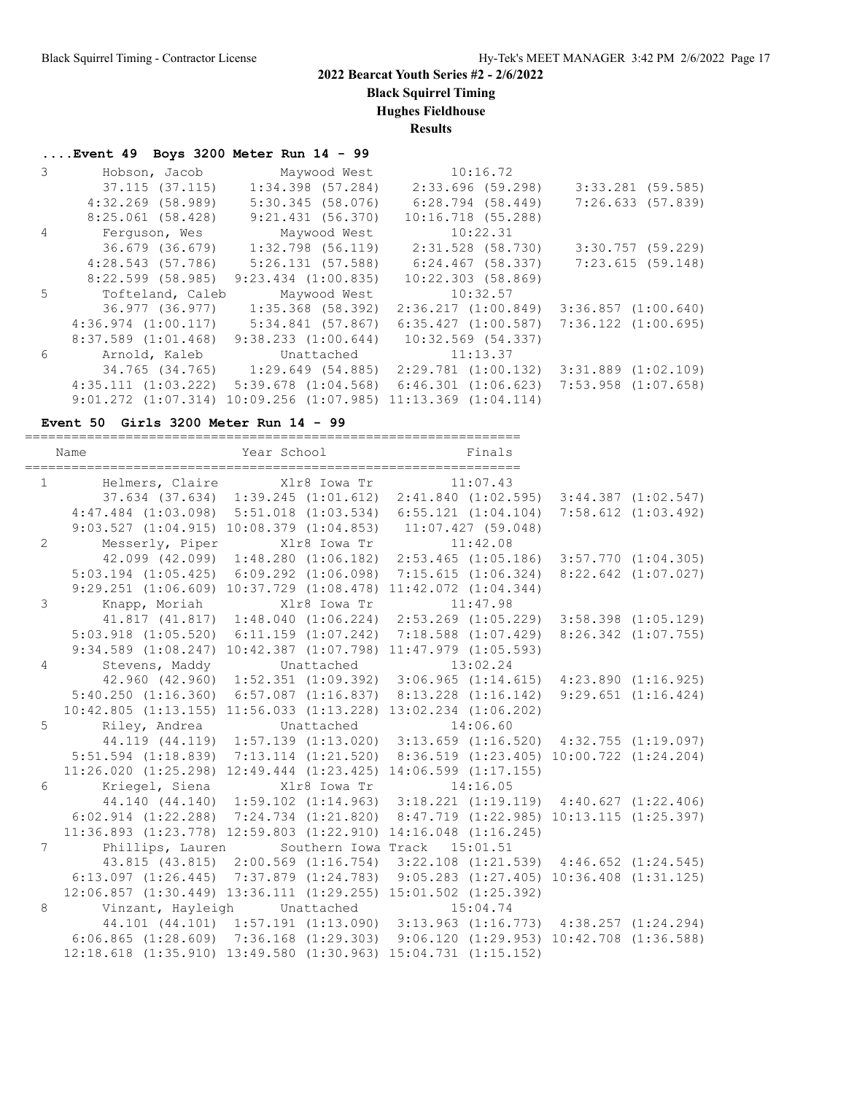**Black Squirrel Timing**

**Hughes Fieldhouse**

**Results**

### **....Event 49 Boys 3200 Meter Run 14 - 99**

|   | Hobson, Jacob           | Maywood West                                                              | 10:16.72                |                         |
|---|-------------------------|---------------------------------------------------------------------------|-------------------------|-------------------------|
|   | 37.115 (37.115)         | $1:34.398$ (57.284)                                                       | 2:33.696(59.298)        | $3:33.281$ (59.585)     |
|   | $4:32.269$ (58.989)     | 5:30.345(58.076)                                                          | 6:28.794 (58.449)       | 7:26.633(57.839)        |
|   | $8:25.061$ (58.428)     | 9:21.431(56.370)                                                          | $10:16.718$ (55.288)    |                         |
| 4 | Ferquson, Wes           | Maywood West                                                              | 10:22.31                |                         |
|   | 36.679 (36.679)         | $1:32.798$ (56.119)                                                       | 2:31.528 (58.730)       | $3:30.757$ (59.229)     |
|   | 4:28.543(57.786)        | 5:26.131(57.588)                                                          | $6:24.467$ (58.337)     | 7:23.615(59.148)        |
|   | $8:22.599$ (58.985)     | $9:23.434$ $(1:00.835)$                                                   | $10:22.303$ (58.869)    |                         |
| 5 | Tofteland, Caleb        | Maywood West                                                              | 10:32.57                |                         |
|   |                         | 36.977 (36.977) 1:35.368 (58.392)                                         | 2:36.217(1:00.849)      | $3:36.857$ $(1:00.640)$ |
|   |                         | $4:36.974$ $(1:00.117)$ $5:34.841$ $(57.867)$                             | 6:35.427(1:00.587)      | 7:36.122 (1:00.695)     |
|   | $8:37.589$ $(1:01.468)$ | 9:38.233(1:00.644)                                                        | 10:32.569 (54.337)      |                         |
| 6 | Arnold, Kaleb           | Unattached                                                                | 11:13.37                |                         |
|   |                         | 34.765 (34.765) 1:29.649 (54.885)                                         | $2:29.781$ $(1:00.132)$ | $3:31.889$ $(1:02.109)$ |
|   |                         | $4:35.111$ $(1:03.222)$ $5:39.678$ $(1:04.568)$                           | $6:46.301$ $(1:06.623)$ | $7:53.958$ $(1:07.658)$ |
|   |                         | $9:01.272$ $(1:07.314)$ $10:09.256$ $(1:07.985)$ $11:13.369$ $(1:04.114)$ |                         |                         |

#### **Event 50 Girls 3200 Meter Run 14 - 99**

|                | Year School Finals<br>Name                                                                       |  |  |  |
|----------------|--------------------------------------------------------------------------------------------------|--|--|--|
|                | 1 Helmers, Claire Xlr8 Iowa Tr 11:07.43                                                          |  |  |  |
|                | 37.634 (37.634) 1:39.245 (1:01.612) 2:41.840 (1:02.595) 3:44.387 (1:02.547)                      |  |  |  |
|                | 4:47.484 (1:03.098) 5:51.018 (1:03.534) 6:55.121 (1:04.104) 7:58.612 (1:03.492)                  |  |  |  |
|                | 9:03.527 (1:04.915) 10:08.379 (1:04.853) 11:07.427 (59.048)                                      |  |  |  |
| $\overline{2}$ | Messerly, Piper Xlr8 Iowa Tr 11:42.08                                                            |  |  |  |
|                | 42.099 (42.099) 1:48.280 (1:06.182) 2:53.465 (1:05.186) 3:57.770 (1:04.305)                      |  |  |  |
|                | 5:03.194 (1:05.425) 6:09.292 (1:06.098) 7:15.615 (1:06.324) 8:22.642 (1:07.027)                  |  |  |  |
|                | 9:29.251 (1:06.609) 10:37.729 (1:08.478) 11:42.072 (1:04.344)                                    |  |  |  |
| $\mathcal{S}$  | Knapp, Moriah Xlr8 Iowa Tr 11:47.98                                                              |  |  |  |
|                | 41.817 (41.817) 1:48.040 (1:06.224) 2:53.269 (1:05.229) 3:58.398 (1:05.129)                      |  |  |  |
|                | 5:03.918 (1:05.520) 6:11.159 (1:07.242) 7:18.588 (1:07.429) 8:26.342 (1:07.755)                  |  |  |  |
|                | 9:34.589 (1:08.247) 10:42.387 (1:07.798) 11:47.979 (1:05.593)                                    |  |  |  |
| $\overline{4}$ | Stevens, Maddy Unattached 13:02.24                                                               |  |  |  |
|                | 42.960 (42.960) 1:52.351 (1:09.392) 3:06.965 (1:14.615) 4:23.890 (1:16.925)                      |  |  |  |
|                | 5:40.250 (1:16.360) 6:57.087 (1:16.837) 8:13.228 (1:16.142) 9:29.651 (1:16.424)                  |  |  |  |
|                | $10:42.805$ (1:13.155) 11:56.033 (1:13.228) 13:02.234 (1:06.202)                                 |  |  |  |
| 5              | Riley, Andrea Chattached 14:06.60                                                                |  |  |  |
|                | 44.119 (44.119) 1:57.139 (1:13.020) 3:13.659 (1:16.520) 4:32.755 (1:19.097)                      |  |  |  |
|                | 5:51.594 (1:18.839) 7:13.114 (1:21.520) 8:36.519 (1:23.405) 10:00.722 (1:24.204)                 |  |  |  |
|                | $11:26.020$ $(1:25.298)$ $12:49.444$ $(1:23.425)$ $14:06.599$ $(1:17.155)$                       |  |  |  |
| 6              | Kriegel, Siena 1981 - Xlr8 Iowa Tr 14:16.05                                                      |  |  |  |
|                | 44.140 (44.140) 1:59.102 (1:14.963) 3:18.221 (1:19.119) 4:40.627 (1:22.406)                      |  |  |  |
|                | $6:02.914$ $(1:22.288)$ $7:24.734$ $(1:21.820)$ $8:47.719$ $(1:22.985)$ $10:13.115$ $(1:25.397)$ |  |  |  |
|                | $11:36.893$ $(1:23.778)$ $12:59.803$ $(1:22.910)$ $14:16.048$ $(1:16.245)$                       |  |  |  |
| $7^{\circ}$    | Phillips, Lauren Southern Iowa Track 15:01.51                                                    |  |  |  |
|                | 43.815 (43.815) 2:00.569 (1:16.754) 3:22.108 (1:21.539) 4:46.652 (1:24.545)                      |  |  |  |
|                | 6:13.097 (1:26.445) 7:37.879 (1:24.783) 9:05.283 (1:27.405) 10:36.408 (1:31.125)                 |  |  |  |
|                | 12:06.857 (1:30.449) 13:36.111 (1:29.255) 15:01.502 (1:25.392)                                   |  |  |  |
| 8              | Vinzant, Hayleigh Unattached 15:04.74                                                            |  |  |  |
|                | 44.101 (44.101) 1:57.191 (1:13.090) 3:13.963 (1:16.773) 4:38.257 (1:24.294)                      |  |  |  |
|                | $6:06.865$ $(1:28.609)$ $7:36.168$ $(1:29.303)$ $9:06.120$ $(1:29.953)$ $10:42.708$ $(1:36.588)$ |  |  |  |
|                | $12:18.618$ $(1:35.910)$ $13:49.580$ $(1:30.963)$ $15:04.731$ $(1:15.152)$                       |  |  |  |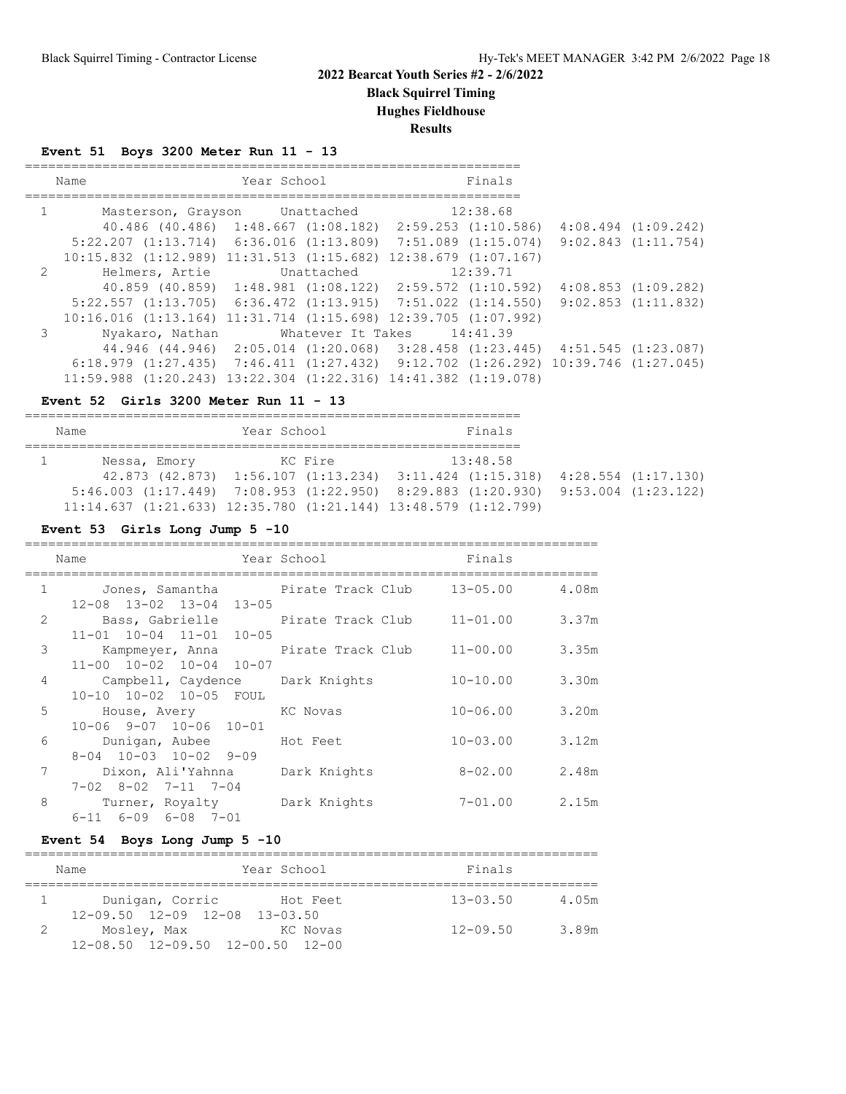**Black Squirrel Timing**

**Hughes Fieldhouse**

**Results**

### **Event 51 Boys 3200 Meter Run 11 - 13**

|              | Name                                                                                             | Year School |                   | Finals   |                         |
|--------------|--------------------------------------------------------------------------------------------------|-------------|-------------------|----------|-------------------------|
| $\mathbf{1}$ | Masterson, Grayson Unattached                                                                    |             |                   | 12:38.68 |                         |
|              | $40.486$ (40.486) 1:48.667 (1:08.182) 2:59.253 (1:10.586)                                        |             |                   |          | $4:08.494$ $(1:09.242)$ |
|              | $5:22.207$ $(1:13.714)$ $6:36.016$ $(1:13.809)$ $7:51.089$ $(1:15.074)$                          |             |                   |          | $9:02.843$ $(1:11.754)$ |
|              | $10:15.832$ $(1:12.989)$ $11:31.513$ $(1:15.682)$ $12:38.679$ $(1:07.167)$                       |             |                   |          |                         |
| 2            | Helmers, Artie                                                                                   |             | Unattached        | 12:39.71 |                         |
|              | $40.859$ (40.859) $1:48.981$ (1:08.122) $2:59.572$ (1:10.592)                                    |             |                   |          | $4:08.853$ $(1:09.282)$ |
|              | $5:22.557$ (1:13.705) 6:36.472 (1:13.915) 7:51.022 (1:14.550) 9:02.853 (1:11.832)                |             |                   |          |                         |
|              | 10:16.016 (1:13.164) 11:31.714 (1:15.698) 12:39.705 (1:07.992)                                   |             |                   |          |                         |
| 3            | Nyakaro, Nathan                                                                                  |             | Whatever It Takes | 14:41.39 |                         |
|              | 44.946 (44.946) 2:05.014 (1:20.068) 3:28.458 (1:23.445) 4:51.545 (1:23.087)                      |             |                   |          |                         |
|              | $6:18.979$ $(1:27.435)$ $7:46.411$ $(1:27.432)$ $9:12.702$ $(1:26.292)$ $10:39.746$ $(1:27.045)$ |             |                   |          |                         |
|              | $11:59.988$ $(1:20.243)$ $13:22.304$ $(1:22.316)$ $14:41.382$ $(1:19.078)$                       |             |                   |          |                         |

#### **Event 52 Girls 3200 Meter Run 11 - 13**

| Name         | Year School | Finals                                                                                                                                                                        |                     |
|--------------|-------------|-------------------------------------------------------------------------------------------------------------------------------------------------------------------------------|---------------------|
| Nessa, Emory | KC Fire     | 13:48.58<br>$42.873$ $(42.873)$ $1:56.107$ $(1:13.234)$ $3:11.424$ $(1:15.318)$                                                                                               | 4:28.554 (1:17.130) |
|              |             | $5:46.003$ $(1:17.449)$ $7:08.953$ $(1:22.950)$ $8:29.883$ $(1:20.930)$ $9:53.004$ $(1:23.122)$<br>$11:14.637$ $(1:21.633)$ $12:35.780$ $(1:21.144)$ $13:48.579$ $(1:12.799)$ |                     |

### **Event 53 Girls Long Jump 5 -10**

|                | Name                                                                    | Year School  | Finals       |       |
|----------------|-------------------------------------------------------------------------|--------------|--------------|-------|
| $\mathbf{1}$   |                                                                         |              | 13-05.00     | 4.08m |
| $\mathcal{L}$  | 12-08 13-02 13-04 13-05<br>Bass, Gabrielle       Pirate Track Club      |              | $11 - 01.00$ | 3.37m |
|                | 11-01 10-04 11-01 10-05                                                 |              |              |       |
| 3              | Kampmeyer, Anna<br>Pirate Track Club<br>$11-00$ $10-02$ $10-04$ $10-07$ |              | $11 - 00.00$ | 3.35m |
| $\overline{4}$ | Campbell, Caydence Dark Knights                                         |              | $10 - 10.00$ | 3.30m |
| 5              | 10-10 10-02 10-05 FOUL<br>House, Avery KC Novas                         |              | $10 - 06.00$ | 3.20m |
|                | $10-06$ $9-07$ $10-06$ $10-01$                                          |              |              |       |
| 6              | Dunigan, Aubee<br>$8-04$ 10-03 10-02 9-09                               | Hot Feet     | $10 - 03.00$ | 3.12m |
| 7              | Dixon, Ali'Yahnna<br>$7 - 02$ $8 - 02$ $7 - 11$ $7 - 04$                | Dark Knights | $8 - 02.00$  | 2.48m |
| 8              | Turner, Royalty Dark Knights<br>$6-11$ $6-09$ $6-08$ $7-01$             |              | 7-01.00      | 2.15m |

### **Event 54 Boys Long Jump 5 -10**

| Year School<br>Name                                  |          | Finals       |       |
|------------------------------------------------------|----------|--------------|-------|
| Dunigan, Corric                                      | Hot Feet | $13 - 03.50$ | 4.05m |
| $12-09.50$ $12-09$ $12-08$ $13-03.50$<br>Mosley, Max | KC Novas | $12 - 09.50$ | 3.89m |
| 12-08.50 12-09.50 12-00.50 12-00                     |          |              |       |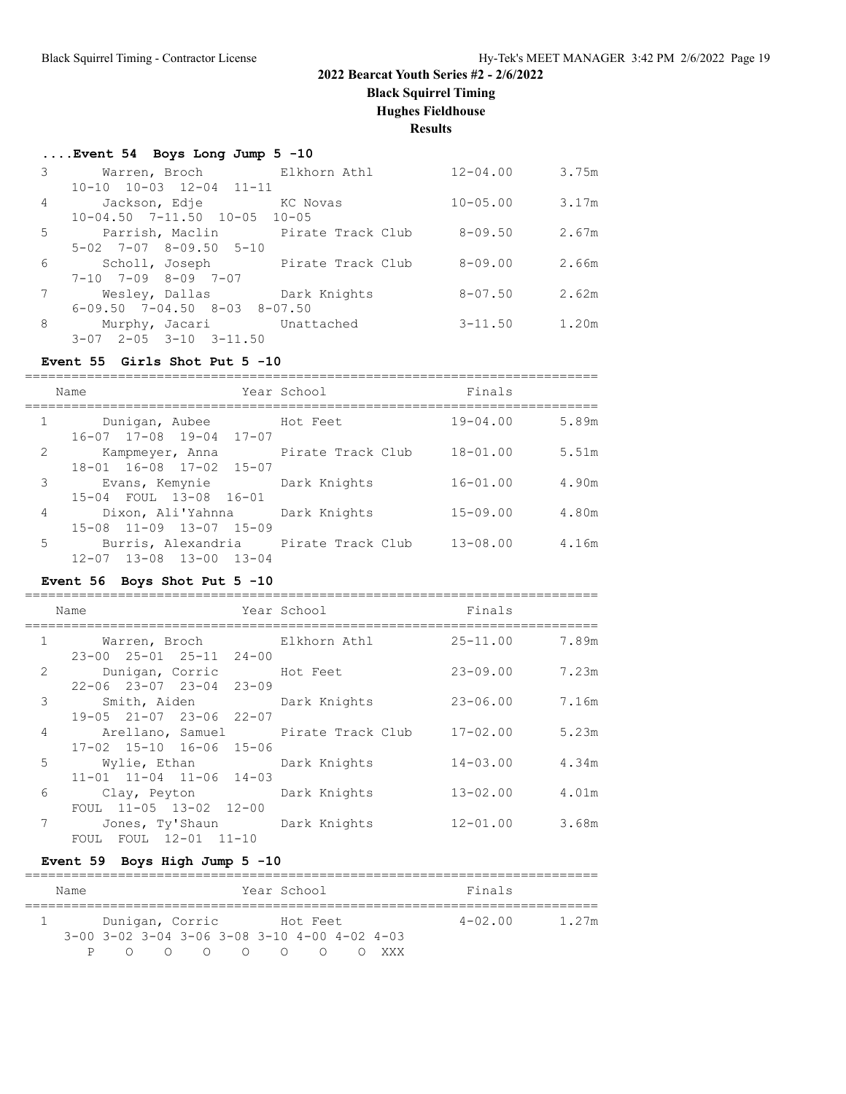**Black Squirrel Timing**

**Hughes Fieldhouse**

**Results**

#### **....Event 54 Boys Long Jump 5 -10**

|   | Warren, Broch                                | Elkhorn Athl                     | $12 - 04.00$ | 3.75m |
|---|----------------------------------------------|----------------------------------|--------------|-------|
|   | 10-10 10-03 12-04 11-11                      |                                  |              |       |
| 4 | Jackson, Edje                                | KC Novas                         | $10 - 05.00$ | 3.17m |
|   | $10-04.50$ 7-11.50 $10-05$ 10-05             |                                  |              |       |
| 5 | Parrish, Maclin                              | Pirate Track Club                | $8 - 09.50$  | 2.67m |
|   | $5-02$ $7-07$ $8-09.50$ $5-10$               |                                  |              |       |
| 6 |                                              | Scholl, Joseph Pirate Track Club | $8 - 09.00$  | 2.66m |
|   | $7-10$ $7-09$ $8-09$ $7-07$                  |                                  |              |       |
|   | Wesley, Dallas Dark Knights                  |                                  | $8 - 07.50$  | 2.62m |
|   | $6-09.50$ $7-04.50$ $8-03$ $8-07.50$         |                                  |              |       |
| 8 | Murphy, Jacari Unattached                    |                                  | $3 - 11.50$  | 1.20m |
|   | $2 - 0.5$ $3 - 10$ $3 - 11$ , 50<br>$3 - 07$ |                                  |              |       |

#### **Event 55 Girls Shot Put 5 -10**

========================================================================== Name Year School Finals ========================================================================== 1 Dunigan, Aubee Hot Feet 16-07 17-08 19-04 17-07 2 Kampmeyer, Anna Pirate Track Club 18-01.00 5.51m 18-01 16-08 17-02 15-07 3 Evans, Kemynie Dark Knights 16-01.00 4.90m 15-04 FOUL 13-08 16-01 4 Dixon, Ali'Yahnna Dark Knights 15-09.00 4.80m 15-08 11-09 13-07 15-09 5 Burris, Alexandria Pirate Track Club 13-08.00 4.16m 12-07 13-08 13-00 13-04

#### **Event 56 Boys Shot Put 5 -10**

|              | Name                                                                    | Year School | Finals       |       |
|--------------|-------------------------------------------------------------------------|-------------|--------------|-------|
| $\mathbf{1}$ | Warren, Broch Elkhorn Athl                                              |             | $25 - 11.00$ | 7.89m |
| 2            | 23-00 25-01 25-11 24-00<br>Dunigan, Corric Hot Feet                     |             | $23 - 09.00$ | 7.23m |
| 3            | $22 - 06$ $23 - 07$ $23 - 04$ $23 - 09$<br>Smith, Aiden Dark Knights    |             | 23-06.00     | 7.16m |
|              | 19-05 21-07 23-06 22-07                                                 |             |              |       |
| 4            | Arellano, Samuel           Pirate Track Club<br>17-02 15-10 16-06 15-06 |             | $17 - 02.00$ | 5.23m |
| 5            | Wylie, Ethan Dark Knights<br>$11-01$ $11-04$ $11-06$ $14-03$            |             | $14 - 03.00$ | 4.34m |
| 6            | Clay, Peyton Dark Knights                                               |             | $13 - 02.00$ | 4.01m |
| 7            | FOUL 11-05 13-02 12-00<br>Jones, Ty'Shaun Dark Knights                  |             | $12 - 01.00$ | 3.68m |
|              | FOUL FOUL 12-01 11-10                                                   |             |              |       |

#### **Event 59 Boys High Jump 5 -10**

| Name |                 |                                                                |  | Year School |       | Finals      |       |
|------|-----------------|----------------------------------------------------------------|--|-------------|-------|-------------|-------|
|      | Dunigan, Corric |                                                                |  | Hot Feet    |       | $4 - 02.00$ | 1.27m |
|      |                 | $3-00$ $3-02$ $3-04$ $3-06$ $3-08$ $3-10$ $4-00$ $4-02$ $4-03$ |  |             |       |             |       |
|      | $\cap$ $\cap$   | $\circ$ $\circ$ $\circ$ $\circ$ $\circ$                        |  |             | XXX X |             |       |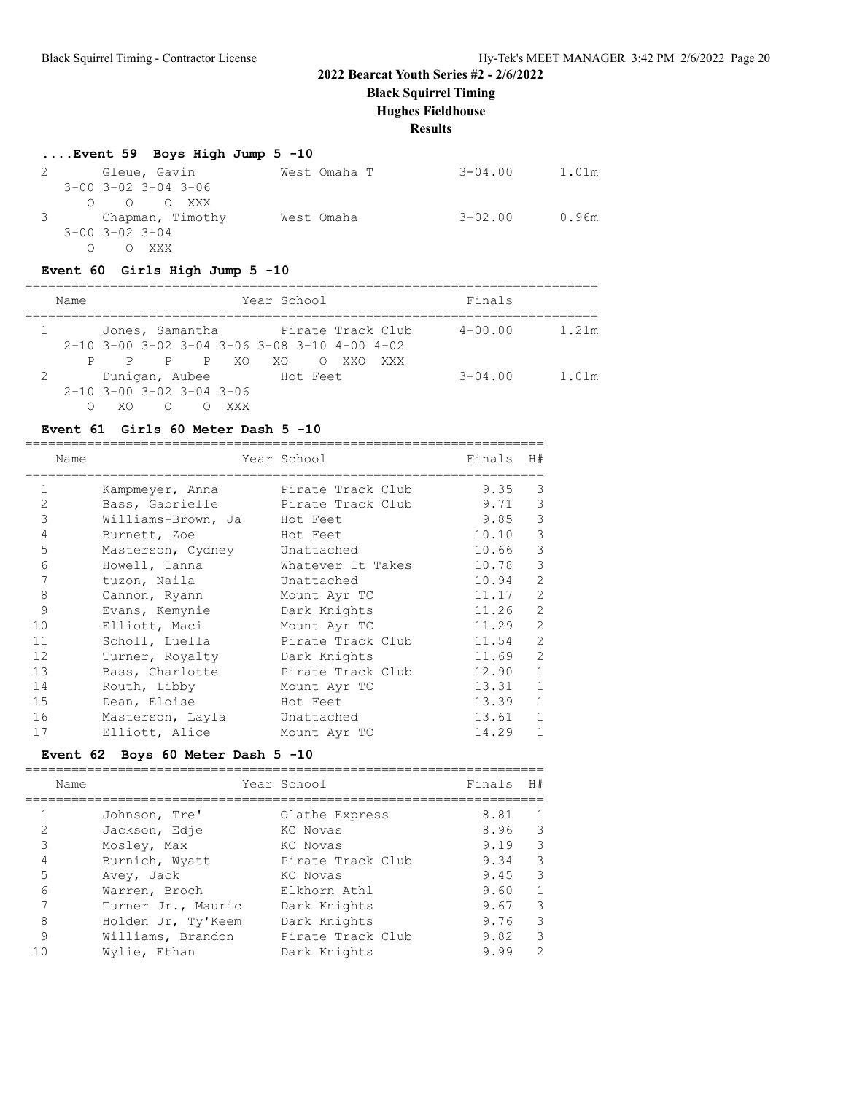**Black Squirrel Timing**

### **Hughes Fieldhouse**

**Results**

## **....Event 59 Boys High Jump 5 -10**

| Gleue, Gavin                        | West Omaha T | 3-04.00     | 1.01m |
|-------------------------------------|--------------|-------------|-------|
| $3 - 00$ $3 - 02$ $3 - 04$ $3 - 06$ |              |             |       |
| $O$ $O$ $O$ XXX                     |              |             |       |
| 3 Chapman, Timothy                  | West Omaha   | $3 - 02.00$ | 0.96m |
| $3 - 00$ $3 - 02$ $3 - 04$          |              |             |       |
| O XXX                               |              |             |       |

### **Event 60 Girls High Jump 5 -10**

|   | Name |                              |                |     | Year School                                    |                  |     | Finals      |       |
|---|------|------------------------------|----------------|-----|------------------------------------------------|------------------|-----|-------------|-------|
|   |      |                              |                |     | Jones, Samantha Pirate Track Club              |                  |     | $4 - 00.00$ | 1.21m |
|   |      |                              |                |     | $2-10$ 3-00 3-02 3-04 3-06 3-08 3-10 4-00 4-02 |                  |     |             |       |
|   | P    | P.                           | P P XO         |     | XO.                                            | XXO<br>$\circ$ 0 | XXX |             |       |
| 2 |      |                              | Dunigan, Aubee |     | Hot Feet                                       |                  |     | $3 - 04.00$ | 1.01m |
|   |      | $2 - 10$ 3-00 3-02 3-04 3-06 |                |     |                                                |                  |     |             |       |
|   |      |                              | ∩              | XXX |                                                |                  |     |             |       |

### **Event 61 Girls 60 Meter Dash 5 -10**

|                | Name |                    | Year School       | Finals | H#             |
|----------------|------|--------------------|-------------------|--------|----------------|
| 1              |      | Kampmeyer, Anna    | Pirate Track Club | 9.35   | 3              |
| $\overline{2}$ |      | Bass, Gabrielle    | Pirate Track Club | 9.71   | 3              |
| 3              |      | Williams-Brown, Ja | Hot Feet          | 9.85   | 3              |
| 4              |      | Burnett, Zoe       | Hot Feet          | 10.10  | 3              |
| 5              |      | Masterson, Cydney  | Unattached        | 10.66  | 3              |
| 6              |      | Howell, Ianna      | Whatever It Takes | 10.78  | 3              |
| 7              |      | tuzon, Naila       | Unattached        | 10.94  | $\overline{2}$ |
| 8              |      | Cannon, Ryann      | Mount Ayr TC      | 11.17  | $\overline{2}$ |
| 9              |      | Evans, Kemynie     | Dark Knights      | 11.26  | $\overline{2}$ |
| 10             |      | Elliott, Maci      | Mount Ayr TC      | 11.29  | $\overline{2}$ |
| 11             |      | Scholl, Luella     | Pirate Track Club | 11.54  | $\overline{2}$ |
| 12             |      | Turner, Royalty    | Dark Knights      | 11.69  | $\overline{2}$ |
| 13             |      | Bass, Charlotte    | Pirate Track Club | 12.90  | $\mathbf{1}$   |
| 14             |      | Routh, Libby       | Mount Ayr TC      | 13.31  | $\mathbf{1}$   |
| 15             |      | Dean, Eloise       | Hot Feet          | 13.39  | $\mathbf{1}$   |
| 16             |      | Masterson, Layla   | Unattached        | 13.61  | $\mathbf{1}$   |
| 17             |      | Elliott, Alice     | Mount Ayr TC      | 14.29  | $\mathbf{1}$   |

#### **Event 62 Boys 60 Meter Dash 5 -10**

|         | Name               | Year School       | Finals | H#            |
|---------|--------------------|-------------------|--------|---------------|
|         | Johnson, Tre'      | Olathe Express    | 8.81   |               |
| 2       | Jackson, Edje      | KC Novas          | 8.96   | 3             |
| 3       | Mosley, Max        | KC Novas          | 9.19   | 3             |
| 4       | Burnich, Wyatt     | Pirate Track Club | 9.34   | 3             |
| 5       | Avey, Jack         | KC Novas          | 9.45   | 3             |
| 6       | Warren, Broch      | Elkhorn Athl      | 9.60   | $\mathbf{1}$  |
|         | Turner Jr., Mauric | Dark Knights      | 9.67   | 3             |
| 8       | Holden Jr, Ty'Keem | Dark Knights      | 9.76   | 3             |
| $\circ$ | Williams, Brandon  | Pirate Track Club | 9.82   | 3             |
| 1 ∩     | Wylie, Ethan       | Dark Knights      | 9.99   | $\mathcal{D}$ |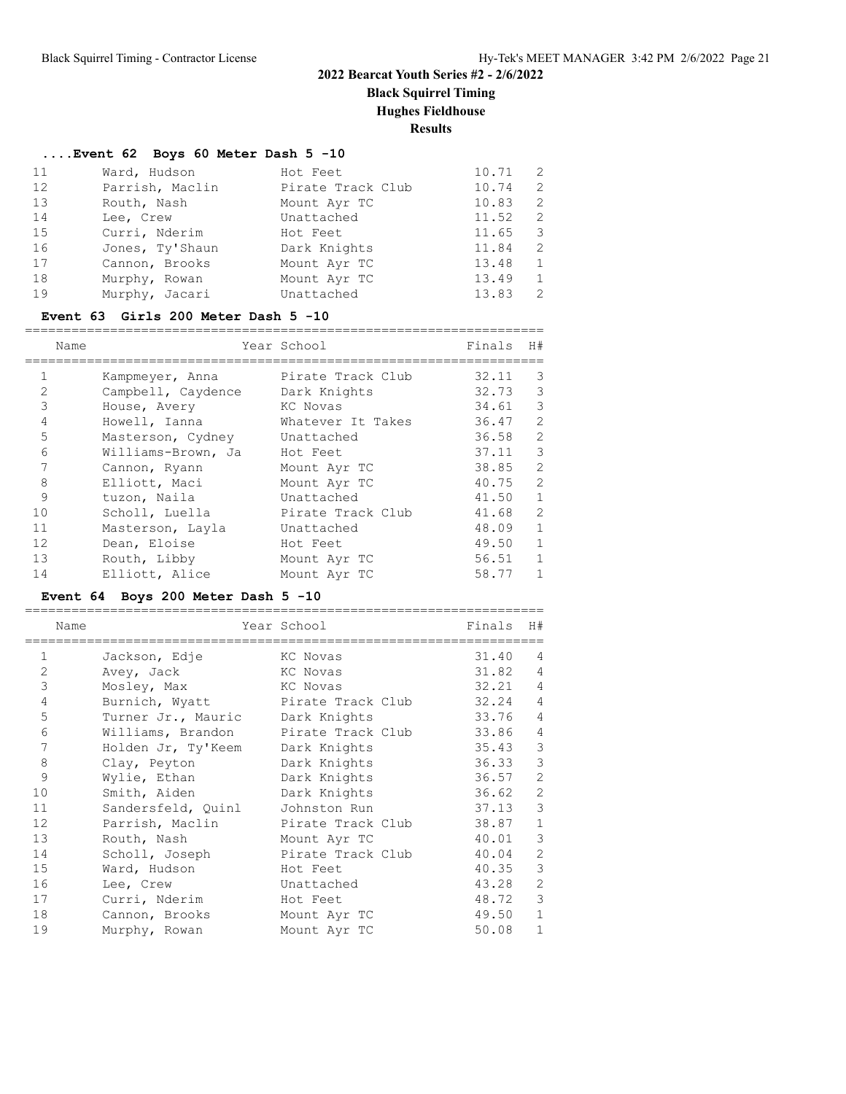**Black Squirrel Timing Hughes Fieldhouse**

**Results**

### **....Event 62 Boys 60 Meter Dash 5 -10**

| 11 | Ward, Hudson    | Hot Feet          | 10.71 | 2             |
|----|-----------------|-------------------|-------|---------------|
| 12 | Parrish, Maclin | Pirate Track Club | 10.74 | $\mathcal{L}$ |
| 13 | Routh, Nash     | Mount Ayr TC      | 10.83 | $\mathcal{L}$ |
| 14 | Lee, Crew       | Unattached        | 11.52 | $\mathcal{L}$ |
| 15 | Curri, Nderim   | Hot Feet          | 11.65 | 3             |
| 16 | Jones, Ty'Shaun | Dark Knights      | 11.84 | $\mathcal{L}$ |
| 17 | Cannon, Brooks  | Mount Ayr TC      | 13.48 | 1             |
| 18 | Murphy, Rowan   | Mount Ayr TC      | 13.49 | 1             |
| 19 | Murphy, Jacari  | Unattached        | 13.83 | $\mathcal{L}$ |

### **Event 63 Girls 200 Meter Dash 5 -10**

|                | Name               | Year School       | Finals | H#             |
|----------------|--------------------|-------------------|--------|----------------|
|                | Kampmeyer, Anna    | Pirate Track Club | 32.11  | 3              |
| $\overline{2}$ | Campbell, Caydence | Dark Knights      | 32.73  | 3              |
| 3              | House, Avery       | KC Novas          | 34.61  | 3              |
| 4              | Howell, Ianna      | Whatever It Takes | 36.47  | 2              |
| 5              | Masterson, Cydney  | Unattached        | 36.58  | 2              |
| 6              | Williams-Brown, Ja | Hot Feet          | 37.11  | 3              |
| 7              | Cannon, Ryann      | Mount Ayr TC      | 38.85  | $\overline{2}$ |
| 8              | Elliott, Maci      | Mount Ayr TC      | 40.75  | $\overline{2}$ |
| 9              | tuzon, Naila       | Unattached        | 41.50  | $\mathbf{1}$   |
| 10             | Scholl, Luella     | Pirate Track Club | 41.68  | $\overline{2}$ |
| 11             | Masterson, Layla   | Unattached        | 48.09  | $\mathbf{1}$   |
| 12             | Dean, Eloise       | Hot Feet          | 49.50  | $\mathbf{1}$   |
| 13             | Routh, Libby       | Mount Ayr TC      | 56.51  | $\mathbf{1}$   |
| 14             | Elliott, Alice     | Mount Ayr TC      | 58.77  | 1              |

### **Event 64 Boys 200 Meter Dash 5 -10**

|                | Name               | Year School       | Finals | H#             |
|----------------|--------------------|-------------------|--------|----------------|
| 1              | Jackson, Edje      | KC Novas          | 31.40  | 4              |
| $\overline{2}$ | Avey, Jack         | KC Novas          | 31.82  | $\overline{4}$ |
| 3              | Mosley, Max        | KC Novas          | 32.21  | $\overline{4}$ |
| $\overline{4}$ | Burnich, Wyatt     | Pirate Track Club | 32.24  | $\overline{4}$ |
| 5              | Turner Jr., Mauric | Dark Knights      | 33.76  | $\overline{4}$ |
| 6              | Williams, Brandon  | Pirate Track Club | 33.86  | $\overline{4}$ |
| 7              | Holden Jr, Ty'Keem | Dark Knights      | 35.43  | 3              |
| 8              | Clay, Peyton       | Dark Knights      | 36.33  | 3              |
| 9              | Wylie, Ethan       | Dark Knights      | 36.57  | $\overline{2}$ |
| 10             | Smith, Aiden       | Dark Knights      | 36.62  | 2              |
| 11             | Sandersfeld, Quinl | Johnston Run      | 37.13  | 3              |
| 12             | Parrish, Maclin    | Pirate Track Club | 38.87  | $\mathbf{1}$   |
| 13             | Routh, Nash        | Mount Ayr TC      | 40.01  | 3              |
| 14             | Scholl, Joseph     | Pirate Track Club | 40.04  | $\overline{2}$ |
| 15             | Ward, Hudson       | Hot Feet          | 40.35  | 3              |
| 16             | Lee, Crew          | Unattached        | 43.28  | $\overline{2}$ |
| 17             | Curri, Nderim      | Hot Feet          | 48.72  | 3              |
| 18             | Cannon, Brooks     | Mount Ayr TC      | 49.50  | $\mathbf{1}$   |
| 19             | Murphy, Rowan      | Mount Ayr TC      | 50.08  | $\mathbf{1}$   |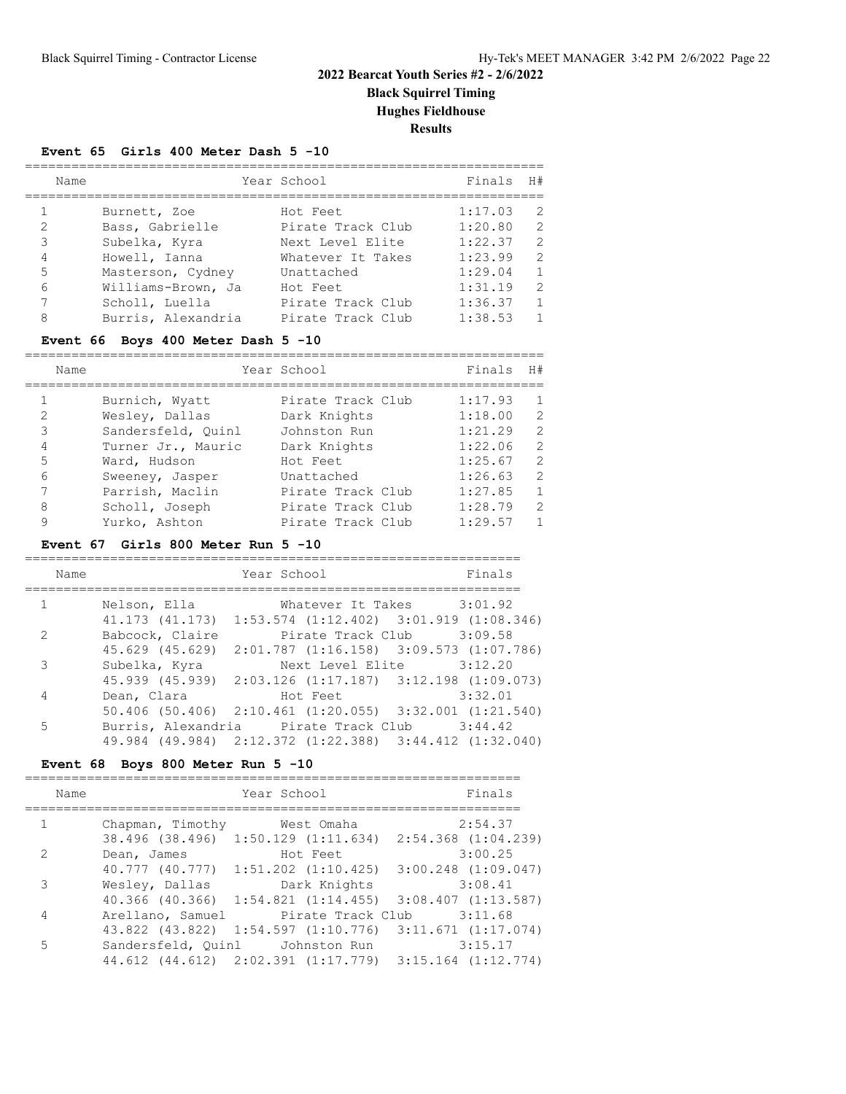## **2022 Bearcat Youth Series #2 - 2/6/2022 Black Squirrel Timing Hughes Fieldhouse**

**Results**

#### **Event 65 Girls 400 Meter Dash 5 -10**

|                | Name               | Year School       | Finals H# |               |
|----------------|--------------------|-------------------|-----------|---------------|
|                |                    |                   |           |               |
|                | Burnett, Zoe       | Hot Feet          | 1:17.03   | 2             |
| 2              | Bass, Gabrielle    | Pirate Track Club | 1:20.80   | $\mathcal{L}$ |
| 3              | Subelka, Kyra      | Next Level Elite  | 1:22.37   | $\mathcal{L}$ |
| $\overline{4}$ | Howell, Ianna      | Whatever It Takes | 1:23.99   | $\mathcal{L}$ |
| 5              | Masterson, Cydney  | Unattached        | 1:29.04   | $\mathbf{1}$  |
| 6              | Williams-Brown, Ja | Hot Feet          | 1:31.19   | $\mathcal{L}$ |
| 7              | Scholl, Luella     | Pirate Track Club | 1:36.37   | $\mathbf{1}$  |
| 8              | Burris, Alexandria | Pirate Track Club | 1:38.53   | $\mathbf{1}$  |

### **Event 66 Boys 400 Meter Dash 5 -10**

|                | Name               | Year School       | Finals  | H#             |
|----------------|--------------------|-------------------|---------|----------------|
|                |                    |                   |         |                |
|                | Burnich, Wyatt     | Pirate Track Club | 1:17.93 | $\mathbf{1}$   |
| $\mathcal{L}$  | Wesley, Dallas     | Dark Knights      | 1:18.00 | $\mathcal{L}$  |
| 3              | Sandersfeld, Ouinl | Johnston Run      | 1:21.29 | 2              |
| $\overline{4}$ | Turner Jr., Mauric | Dark Knights      | 1:22.06 | 2              |
| 5              | Ward, Hudson       | Hot Feet          | 1:25.67 | $\mathcal{L}$  |
| 6              | Sweeney, Jasper    | Unattached        | 1:26.63 | $\mathcal{L}$  |
| 7              | Parrish, Maclin    | Pirate Track Club | 1:27.85 | $\mathbf{1}$   |
| 8              | Scholl, Joseph     | Pirate Track Club | 1:28.79 | $\mathcal{L}$  |
| 9              | Yurko, Ashton      | Pirate Track Club | 1:29.57 | $\overline{1}$ |

#### **Event 67 Girls 800 Meter Run 5 -10**

| Name         |                                                               | Year School                                     |                                                                                                                 | Finals  |
|--------------|---------------------------------------------------------------|-------------------------------------------------|-----------------------------------------------------------------------------------------------------------------|---------|
|              |                                                               |                                                 |                                                                                                                 |         |
| $\mathbf{1}$ | Nelson, Ella Mhatever It Takes 3:01.92                        |                                                 |                                                                                                                 |         |
|              | 41.173 (41.173)                                               | $1:53.574$ $(1:12.402)$ $3:01.919$ $(1:08.346)$ |                                                                                                                 |         |
| 2            | Babcock, Claire                                               |                                                 | Pirate Track Club 3:09.58                                                                                       |         |
|              | 45.629 (45.629)                                               | $2:01.787$ $(1:16.158)$ $3:09.573$ $(1:07.786)$ |                                                                                                                 |         |
| 3            | Subelka, Kyra                                                 |                                                 | Next Level Elite 3:12.20                                                                                        |         |
|              | 45.939 (45.939) 2:03.126 (1:17.187) 3:12.198 (1:09.073)       |                                                 |                                                                                                                 |         |
| 4            | Dean, Clara                                                   |                                                 | Hot Feet and the state of the state of the state of the state of the state of the state of the state of the sta | 3:32.01 |
|              | $50.406$ (50.406) $2:10.461$ (1:20.055) $3:32.001$ (1:21.540) |                                                 |                                                                                                                 |         |
| 5.           | Burris, Alexandria Pirate Track Club 3:44.42                  |                                                 |                                                                                                                 |         |
|              | 49.984 (49.984) 2:12.372 (1:22.388) 3:44.412 (1:32.040)       |                                                 |                                                                                                                 |         |

### **Event 68 Boys 800 Meter Run 5 -10**

| Name          |                                                           | Year School |                                                 | Finals  |
|---------------|-----------------------------------------------------------|-------------|-------------------------------------------------|---------|
|               |                                                           |             |                                                 |         |
| $\mathbf{1}$  | Chapman, Timothy                                          | West Omaha  |                                                 | 2:54.37 |
|               | 38.496 (38.496) 1:50.129 (1:11.634) 2:54.368 (1:04.239)   |             |                                                 |         |
| $\mathcal{L}$ | Dean, James                                               |             | Hot Feet                                        | 3:00.25 |
|               | 40.777 (40.777) 1:51.202 (1:10.425) 3:00.248 (1:09.047)   |             |                                                 |         |
| 3             | Wesley, Dallas                                            |             | Dark Knights                                    | 3:08.41 |
|               | $40.366$ (40.366) 1:54.821 (1:14.455) 3:08.407 (1:13.587) |             |                                                 |         |
| 4             | Arellano, Samuel                                          |             | Pirate Track Club                               | 3:11.68 |
|               | 43.822 (43.822)                                           |             | $1:54.597$ $(1:10.776)$ $3:11.671$ $(1:17.074)$ |         |
| 5             | Sandersfeld, Quinl Johnston Run                           |             |                                                 | 3:15.17 |
|               | 44.612 (44.612) 2:02.391 (1:17.779) 3:15.164 (1:12.774)   |             |                                                 |         |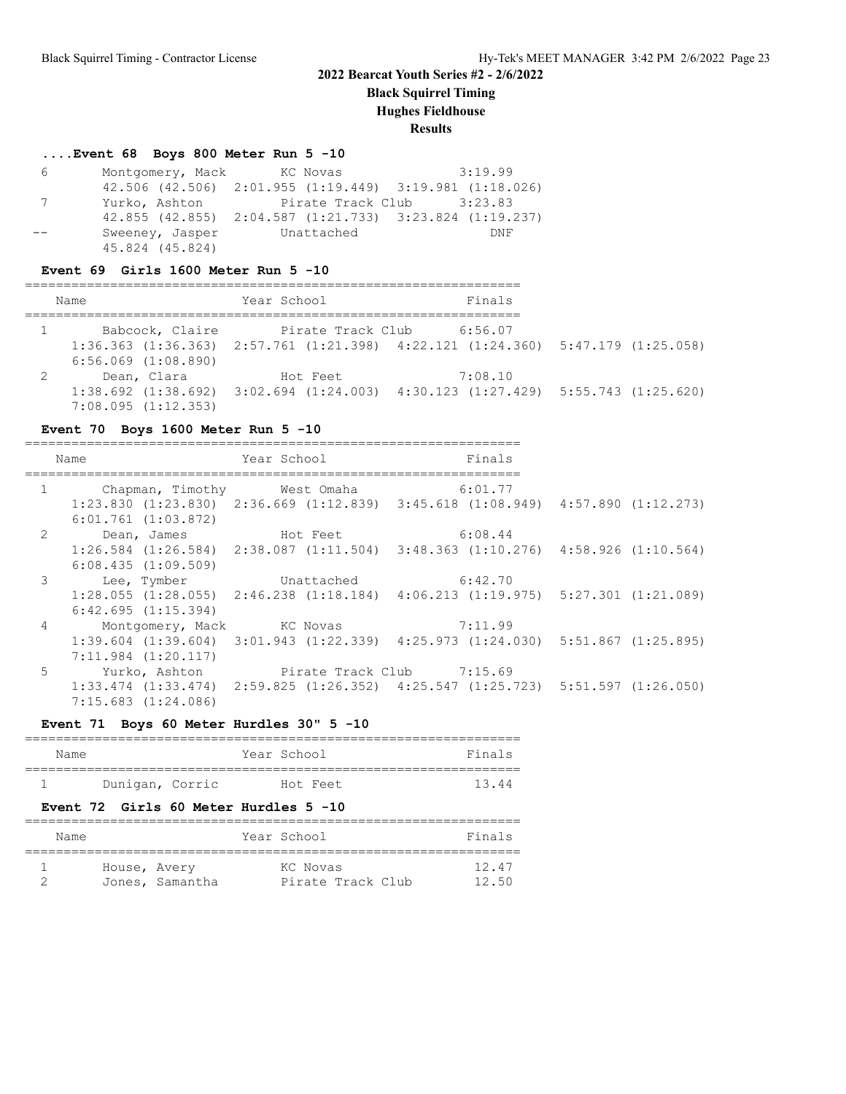**Black Squirrel Timing**

**Hughes Fieldhouse**

**Results**

### **....Event 68 Boys 800 Meter Run 5 -10**

| 6 | Montgomery, Mack KC Novas |                                         | 3:19.99                                                             |
|---|---------------------------|-----------------------------------------|---------------------------------------------------------------------|
|   |                           |                                         | $42.506$ $(42.506)$ $2:01.955$ $(1:19.449)$ $3:19.981$ $(1:18.026)$ |
| 7 |                           | Yurko, Ashton Pirate Track Club 3:23.83 |                                                                     |
|   |                           |                                         | 42.855 (42.855) 2:04.587 (1:21.733) 3:23.824 (1:19.237)             |
|   |                           | Sweeney, Jasper Unattached              | DNF                                                                 |
|   | 45.824 (45.824)           |                                         |                                                                     |

#### **Event 69 Girls 1600 Meter Run 5 -10**

| Name                                       | Year School       | Finals                                                                                                     |  |
|--------------------------------------------|-------------------|------------------------------------------------------------------------------------------------------------|--|
| Babcock, Claire<br>$6:56.069$ $(1:08.890)$ | Pirate Track Club | 6:56.07<br>$1:36.363$ $(1:36.363)$ $2:57.761$ $(1:21.398)$ $4:22.121$ $(1:24.360)$ $5:47.179$ $(1:25.058)$ |  |
| Dean, Clara<br>7:08.095(1:12.353)          | Hot Feet          | 7:08.10<br>$1:38.692$ $(1:38.692)$ $3:02.694$ $(1:24.003)$ $4:30.123$ $(1:27.429)$ $5:55.743$ $(1:25.620)$ |  |

### **Event 70 Boys 1600 Meter Run 5 -10**

|                | Name                              | Year School                 | Finals                                                                                          |  |
|----------------|-----------------------------------|-----------------------------|-------------------------------------------------------------------------------------------------|--|
|                |                                   |                             |                                                                                                 |  |
|                | $1 \qquad \qquad$                 | Chapman, Timothy Mest Omaha | 6:01.77                                                                                         |  |
|                |                                   |                             | $1:23.830$ $(1:23.830)$ $2:36.669$ $(1:12.839)$ $3:45.618$ $(1:08.949)$ $4:57.890$ $(1:12.273)$ |  |
|                | $6:01.761$ $(1:03.872)$           |                             |                                                                                                 |  |
|                | 2 Dean, James Hot Feet 6:08.44    |                             |                                                                                                 |  |
|                |                                   |                             | $1:26.584$ $(1:26.584)$ $2:38.087$ $(1:11.504)$ $3:48.363$ $(1:10.276)$ $4:58.926$ $(1:10.564)$ |  |
|                | 6:08.435(1:09.509)                |                             |                                                                                                 |  |
|                | 3 Lee, Tymber Unattached 6:42.70  |                             |                                                                                                 |  |
|                |                                   |                             | $1:28.055$ $(1:28.055)$ $2:46.238$ $(1:18.184)$ $4:06.213$ $(1:19.975)$ $5:27.301$ $(1:21.089)$ |  |
|                | 6:42.695(1:15.394)                |                             |                                                                                                 |  |
| $\overline{4}$ | Montgomery, Mack KC Novas 7:11.99 |                             |                                                                                                 |  |
|                |                                   |                             | $1:39.604$ $(1:39.604)$ $3:01.943$ $(1:22.339)$ $4:25.973$ $(1:24.030)$ $5:51.867$ $(1:25.895)$ |  |
|                | $7:11.984$ $(1:20.117)$           |                             |                                                                                                 |  |
| 5 <sup>1</sup> |                                   |                             |                                                                                                 |  |
|                |                                   |                             | $1:33.474$ $(1:33.474)$ $2:59.825$ $(1:26.352)$ $4:25.547$ $(1:25.723)$ $5:51.597$ $(1:26.050)$ |  |
|                | $7:15.683$ $(1:24.086)$           |                             |                                                                                                 |  |

#### **Event 71 Boys 60 Meter Hurdles 30" 5 -10**

| Name |                 | Year School |          | Finals |
|------|-----------------|-------------|----------|--------|
|      |                 |             |          |        |
|      | Dunigan, Corric |             | Hot Feet | 13.44  |

### **Event 72 Girls 60 Meter Hurdles 5 -10**

| Name         |                 | Year School       | Finals |
|--------------|-----------------|-------------------|--------|
| House, Avery |                 | KC Novas          | 12.47  |
|              | Jones, Samantha | Pirate Track Club | 12.50  |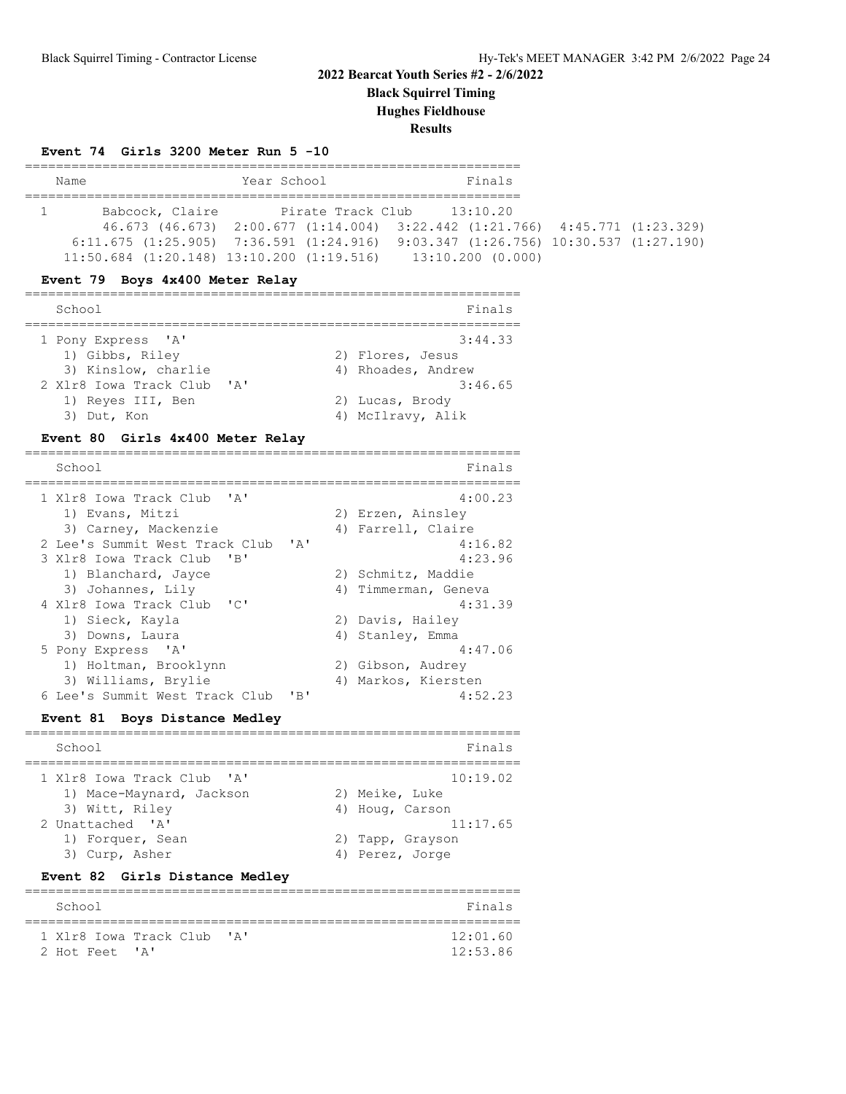**Black Squirrel Timing**

**Hughes Fieldhouse**

**Results**

#### **Event 74 Girls 3200 Meter Run 5 -10**

| Name                                              |  | Year School | Finals                                                                                      |  |  |  |  |
|---------------------------------------------------|--|-------------|---------------------------------------------------------------------------------------------|--|--|--|--|
|                                                   |  |             |                                                                                             |  |  |  |  |
| Babcock, Claire                                   |  |             | Pirate Track Club 13:10.20                                                                  |  |  |  |  |
|                                                   |  |             | $46.673$ $(46.673)$ $2:00.677$ $(1:14.004)$ $3:22.442$ $(1:21.766)$ $4:45.771$ $(1:23.329)$ |  |  |  |  |
|                                                   |  |             | $6:11.675$ (1:25.905) 7:36.591 (1:24.916) 9:03.347 (1:26.756) 10:30.537 (1:27.190)          |  |  |  |  |
| $11:50.684$ $(1:20.148)$ $13:10.200$ $(1:19.516)$ |  |             | 13:10.200 (0.000)                                                                           |  |  |  |  |

#### **Event 79 Boys 4x400 Meter Relay**

| School                                                                                                                         |  | Finals                                                                                               |
|--------------------------------------------------------------------------------------------------------------------------------|--|------------------------------------------------------------------------------------------------------|
| 1 Pony Express 'A'<br>1) Gibbs, Riley<br>3) Kinslow, charlie<br>2 X1r8 Iowa Track Club 'A'<br>1) Reyes III, Ben<br>3) Dut, Kon |  | 3:44.33<br>2) Flores, Jesus<br>4) Rhoades, Andrew<br>3:46.65<br>2) Lucas, Brody<br>4) McIlravy, Alik |
|                                                                                                                                |  |                                                                                                      |

### **Event 80 Girls 4x400 Meter Relay**

| School                         |              | Finals               |
|--------------------------------|--------------|----------------------|
| 1 Xlr8 Iowa Track Club 'A'     |              | 4:00.23              |
| 1) Evans, Mitzi                |              | 2) Erzen, Ainsley    |
| 3) Carney, Mackenzie           |              | 4) Farrell, Claire   |
| 2 Lee's Summit West Track Club | $\mathbf{A}$ | 4:16.82              |
| 3 Xlr8 Iowa Track Club 'B'     |              | 4:23.96              |
| 1) Blanchard, Jayce            |              | 2) Schmitz, Maddie   |
| 3) Johannes, Lily              |              | 4) Timmerman, Geneva |
| 4 Xlr8 Iowa Track Club 'C'     |              | 4:31.39              |
| 1) Sieck, Kayla                |              | 2) Davis, Hailey     |
| 3) Downs, Laura                |              | 4) Stanley, Emma     |
| 5 Pony Express 'A'             |              | 4:47.06              |
| 1) Holtman, Brooklynn          |              | 2) Gibson, Audrey    |
| 3) Williams, Brylie            |              | 4) Markos, Kiersten  |
| 6 Lee's Summit West Track Club | 'B'          | 4:52.23              |

#### **Event 81 Boys Distance Medley** ================================================================

| School                                                 | Finals                     |
|--------------------------------------------------------|----------------------------|
| 1 Xlr8 Iowa Track Club 'A'<br>1) Mace-Maynard, Jackson | 10:19.02<br>2) Meike, Luke |
| 3) Witt, Riley                                         | 4) Houg, Carson            |
| 2 Unattached 'A'                                       | 11:17.65                   |
| 1) Forquer, Sean                                       | 2) Tapp, Grayson           |
| 3) Curp, Asher                                         | 4) Perez, Jorge            |

### **Event 82 Girls Distance Medley**

| School                                       | Finals               |
|----------------------------------------------|----------------------|
| 1 Xlr8 Iowa Track Club 'A'<br>2 Hot Feet 'A' | 12:01.60<br>12:53.86 |